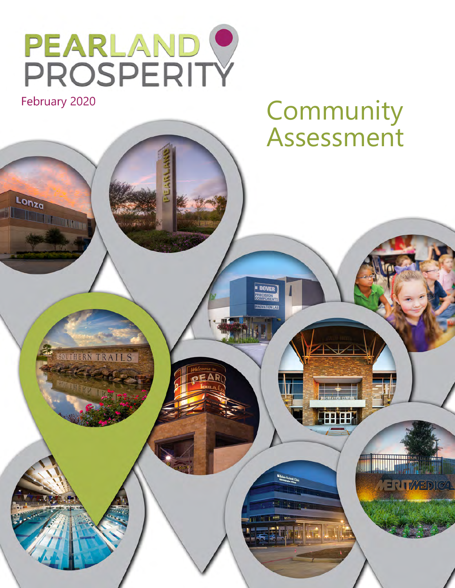

February 2020

Lonza

**EONZO** 

# **Community** Assessment

田田

**Millipers** 

**CERTICABDICA** 

SOUTHERN TRAILS **MITTERY TEST** 

**DOVER**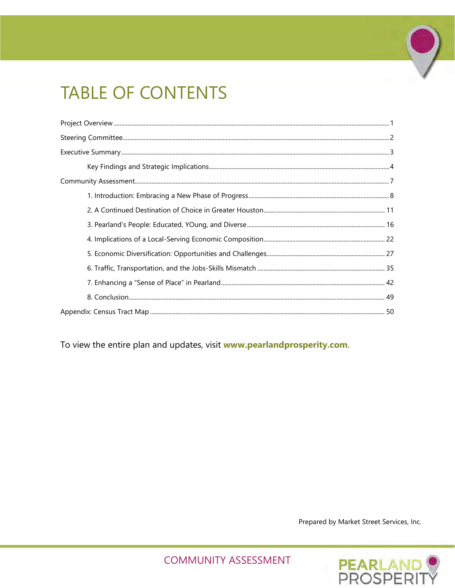# **TABLE OF CONTENTS**

To view the entire plan and updates, visit www.pearlandprosperity.com.

Prepared by Market Street Services, Inc.

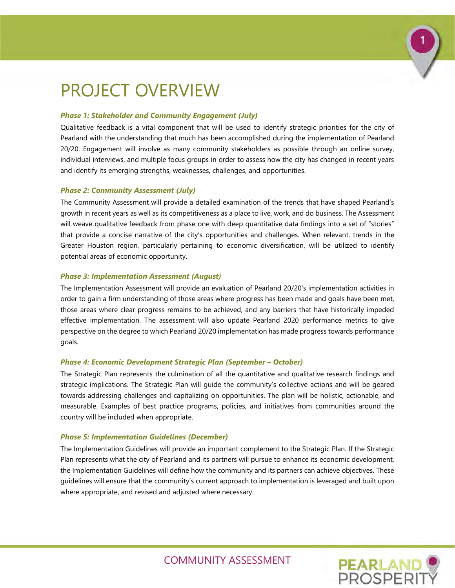# 1

**PEARLAND**<br>PROSPERIT

# <span id="page-2-0"></span>PROJECT OVERVIEW

#### *Phase 1: Stakeholder and Community Engagement (July)*

Qualitative feedback is a vital component that will be used to identify strategic priorities for the city of Pearland with the understanding that much has been accomplished during the implementation of Pearland 20/20. Engagement will involve as many community stakeholders as possible through an online survey, individual interviews, and multiple focus groups in order to assess how the city has changed in recent years and identify its emerging strengths, weaknesses, challenges, and opportunities.

#### *Phase 2: Community Assessment (July)*

The Community Assessment will provide a detailed examination of the trends that have shaped Pearland's growth in recent years as well as its competitiveness as a place to live, work, and do business. The Assessment will weave qualitative feedback from phase one with deep quantitative data findings into a set of "stories" that provide a concise narrative of the city's opportunities and challenges. When relevant, trends in the Greater Houston region, particularly pertaining to economic diversification, will be utilized to identify potential areas of economic opportunity.

#### *Phase 3: Implementation Assessment (August)*

The Implementation Assessment will provide an evaluation of Pearland 20/20's implementation activities in order to gain a firm understanding of those areas where progress has been made and goals have been met, those areas where clear progress remains to be achieved, and any barriers that have historically impeded effective implementation. The assessment will also update Pearland 2020 performance metrics to give perspective on the degree to which Pearland 20/20 implementation has made progress towards performance goals.

#### *Phase 4: Economic Development Strategic Plan (September – October)*

The Strategic Plan represents the culmination of all the quantitative and qualitative research findings and strategic implications. The Strategic Plan will guide the community's collective actions and will be geared towards addressing challenges and capitalizing on opportunities. The plan will be holistic, actionable, and measurable. Examples of best practice programs, policies, and initiatives from communities around the country will be included when appropriate.

#### *Phase 5: Implementation Guidelines (December)*

The Implementation Guidelines will provide an important complement to the Strategic Plan. If the Strategic Plan represents what the city of Pearland and its partners will pursue to enhance its economic development, the Implementation Guidelines will define how the community and its partners can achieve objectives. These guidelines will ensure that the community's current approach to implementation is leveraged and built upon where appropriate, and revised and adjusted where necessary.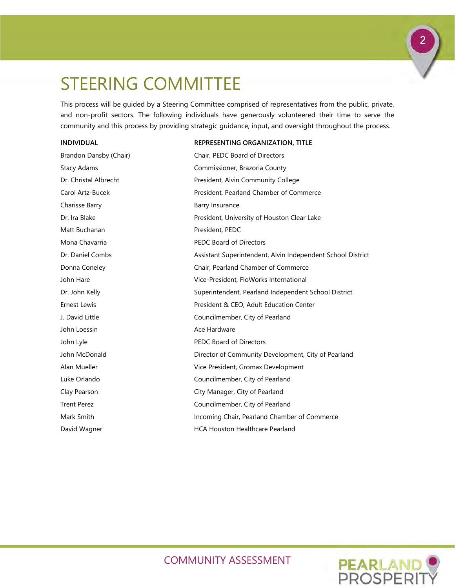# <span id="page-3-0"></span>STEERING COMMITTEE

This process will be guided by a Steering Committee comprised of representatives from the public, private, and non-profit sectors. The following individuals have generously volunteered their time to serve the community and this process by providing strategic guidance, input, and oversight throughout the process.

#### **INDIVIDUAL REPRESENTING ORGANIZATION, TITLE**

| Brandon Dansby (Chair) | Chair, PEDC Board of Directors                              |
|------------------------|-------------------------------------------------------------|
| <b>Stacy Adams</b>     | Commissioner, Brazoria County                               |
| Dr. Christal Albrecht  | President, Alvin Community College                          |
| Carol Artz-Bucek       | President, Pearland Chamber of Commerce                     |
| Charisse Barry         | Barry Insurance                                             |
| Dr. Ira Blake          | President, University of Houston Clear Lake                 |
| Matt Buchanan          | President, PEDC                                             |
| Mona Chavarria         | <b>PEDC Board of Directors</b>                              |
| Dr. Daniel Combs       | Assistant Superintendent, Alvin Independent School District |
| Donna Coneley          | Chair, Pearland Chamber of Commerce                         |
| John Hare              | Vice-President, FloWorks International                      |
| Dr. John Kelly         | Superintendent, Pearland Independent School District        |
| <b>Ernest Lewis</b>    | President & CEO, Adult Education Center                     |
| J. David Little        | Councilmember, City of Pearland                             |
| John Loessin           | Ace Hardware                                                |
| John Lyle              | <b>PEDC Board of Directors</b>                              |
| John McDonald          | Director of Community Development, City of Pearland         |
| Alan Mueller           | Vice President, Gromax Development                          |
| Luke Orlando           | Councilmember, City of Pearland                             |
| Clay Pearson           | City Manager, City of Pearland                              |
| <b>Trent Perez</b>     | Councilmember, City of Pearland                             |
| Mark Smith             | Incoming Chair, Pearland Chamber of Commerce                |
| David Wagner           | <b>HCA Houston Healthcare Pearland</b>                      |



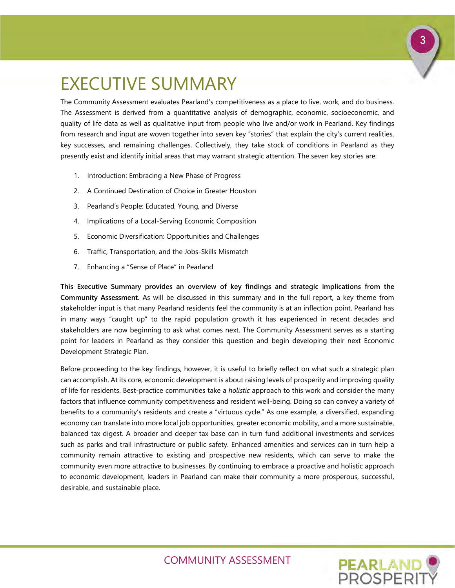# <span id="page-4-0"></span>EXECUTIVE SUMMARY

The Community Assessment evaluates Pearland's competitiveness as a place to live, work, and do business. The Assessment is derived from a quantitative analysis of demographic, economic, socioeconomic, and quality of life data as well as qualitative input from people who live and/or work in Pearland. Key findings from research and input are woven together into seven key "stories" that explain the city's current realities, key successes, and remaining challenges. Collectively, they take stock of conditions in Pearland as they presently exist and identify initial areas that may warrant strategic attention. The seven key stories are:

- 1. Introduction: Embracing a New Phase of Progress
- 2. A Continued Destination of Choice in Greater Houston
- 3. Pearland's People: Educated, Young, and Diverse
- 4. Implications of a Local-Serving Economic Composition
- 5. Economic Diversification: Opportunities and Challenges
- 6. Traffic, Transportation, and the Jobs-Skills Mismatch
- 7. Enhancing a "Sense of Place" in Pearland

**This Executive Summary provides an overview of key findings and strategic implications from the Community Assessment.** As will be discussed in this summary and in the full report, a key theme from stakeholder input is that many Pearland residents feel the community is at an inflection point. Pearland has in many ways "caught up" to the rapid population growth it has experienced in recent decades and stakeholders are now beginning to ask what comes next. The Community Assessment serves as a starting point for leaders in Pearland as they consider this question and begin developing their next Economic Development Strategic Plan.

Before proceeding to the key findings, however, it is useful to briefly reflect on what such a strategic plan can accomplish. At its core, economic development is about raising levels of prosperity and improving quality of life for residents. Best-practice communities take a *holistic* approach to this work and consider the many factors that influence community competitiveness and resident well-being. Doing so can convey a variety of benefits to a community's residents and create a "virtuous cycle." As one example, a diversified, expanding economy can translate into more local job opportunities, greater economic mobility, and a more sustainable, balanced tax digest. A broader and deeper tax base can in turn fund additional investments and services such as parks and trail infrastructure or public safety. Enhanced amenities and services can in turn help a community remain attractive to existing and prospective new residents, which can serve to make the community even more attractive to businesses. By continuing to embrace a proactive and holistic approach to economic development, leaders in Pearland can make their community a more prosperous, successful, desirable, and sustainable place.

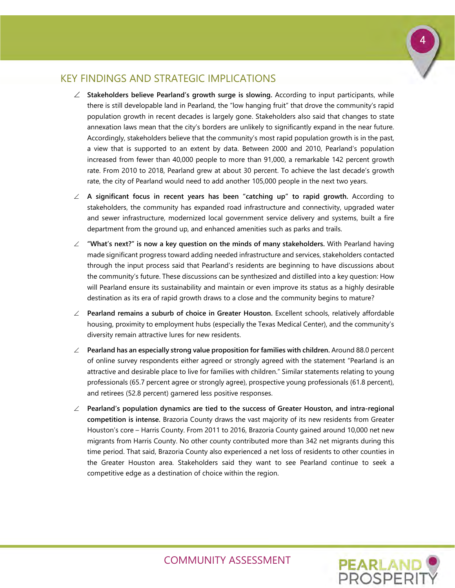### <span id="page-5-0"></span>KEY FINDINGS AND STRATEGIC IMPLICATIONS

- ∠ **Stakeholders believe Pearland's growth surge is slowing.** According to input participants, while there is still developable land in Pearland, the "low hanging fruit" that drove the community's rapid population growth in recent decades is largely gone. Stakeholders also said that changes to state annexation laws mean that the city's borders are unlikely to significantly expand in the near future. Accordingly, stakeholders believe that the community's most rapid population growth is in the past, a view that is supported to an extent by data. Between 2000 and 2010, Pearland's population increased from fewer than 40,000 people to more than 91,000, a remarkable 142 percent growth rate. From 2010 to 2018, Pearland grew at about 30 percent. To achieve the last decade's growth rate, the city of Pearland would need to add another 105,000 people in the next two years.
- ∠ **A significant focus in recent years has been "catching up" to rapid growth.** According to stakeholders, the community has expanded road infrastructure and connectivity, upgraded water and sewer infrastructure, modernized local government service delivery and systems, built a fire department from the ground up, and enhanced amenities such as parks and trails.
- ∠ **"What's next?" is now a key question on the minds of many stakeholders.** With Pearland having made significant progress toward adding needed infrastructure and services, stakeholders contacted through the input process said that Pearland's residents are beginning to have discussions about the community's future. These discussions can be synthesized and distilled into a key question: How will Pearland ensure its sustainability and maintain or even improve its status as a highly desirable destination as its era of rapid growth draws to a close and the community begins to mature?
- ∠ **Pearland remains a suburb of choice in Greater Houston.** Excellent schools, relatively affordable housing, proximity to employment hubs (especially the Texas Medical Center), and the community's diversity remain attractive lures for new residents.
- ∠ **Pearland has an especially strong value proposition for families with children.** Around 88.0 percent of online survey respondents either agreed or strongly agreed with the statement "Pearland is an attractive and desirable place to live for families with children." Similar statements relating to young professionals (65.7 percent agree or strongly agree), prospective young professionals (61.8 percent), and retirees (52.8 percent) garnered less positive responses.
- ∠ **Pearland's population dynamics are tied to the success of Greater Houston, and intra-regional competition is intense.** Brazoria County draws the vast majority of its new residents from Greater Houston's core – Harris County. From 2011 to 2016, Brazoria County gained around 10,000 net new migrants from Harris County. No other county contributed more than 342 net migrants during this time period. That said, Brazoria County also experienced a net loss of residents to other counties in the Greater Houston area. Stakeholders said they want to see Pearland continue to seek a competitive edge as a destination of choice within the region.

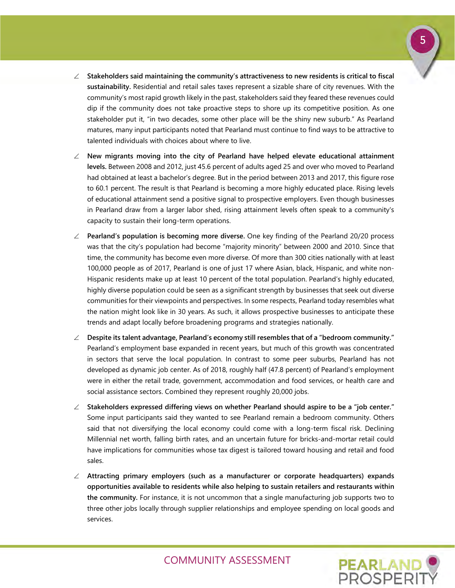- ∠ **Stakeholders said maintaining the community's attractiveness to new residents is critical to fiscal sustainability.** Residential and retail sales taxes represent a sizable share of city revenues. With the community's most rapid growth likely in the past, stakeholders said they feared these revenues could dip if the community does not take proactive steps to shore up its competitive position. As one stakeholder put it, "in two decades, some other place will be the shiny new suburb." As Pearland matures, many input participants noted that Pearland must continue to find ways to be attractive to talented individuals with choices about where to live.
- ∠ **New migrants moving into the city of Pearland have helped elevate educational attainment levels.** Between 2008 and 2012, just 45.6 percent of adults aged 25 and over who moved to Pearland had obtained at least a bachelor's degree. But in the period between 2013 and 2017, this figure rose to 60.1 percent. The result is that Pearland is becoming a more highly educated place. Rising levels of educational attainment send a positive signal to prospective employers. Even though businesses in Pearland draw from a larger labor shed, rising attainment levels often speak to a community's capacity to sustain their long-term operations.
- ∠ **Pearland's population is becoming more diverse.** One key finding of the Pearland 20/20 process was that the city's population had become "majority minority" between 2000 and 2010. Since that time, the community has become even more diverse. Of more than 300 cities nationally with at least 100,000 people as of 2017, Pearland is one of just 17 where Asian, black, Hispanic, and white non-Hispanic residents make up at least 10 percent of the total population. Pearland's highly educated, highly diverse population could be seen as a significant strength by businesses that seek out diverse communities for their viewpoints and perspectives. In some respects, Pearland today resembles what the nation might look like in 30 years. As such, it allows prospective businesses to anticipate these trends and adapt locally before broadening programs and strategies nationally.
- ∠ **Despite its talent advantage, Pearland's economy still resembles that of a "bedroom community."** Pearland's employment base expanded in recent years, but much of this growth was concentrated in sectors that serve the local population. In contrast to some peer suburbs, Pearland has not developed as dynamic job center. As of 2018, roughly half (47.8 percent) of Pearland's employment were in either the retail trade, government, accommodation and food services, or health care and social assistance sectors. Combined they represent roughly 20,000 jobs.
- ∠ **Stakeholders expressed differing views on whether Pearland should aspire to be a "job center."** Some input participants said they wanted to see Pearland remain a bedroom community. Others said that not diversifying the local economy could come with a long-term fiscal risk. Declining Millennial net worth, falling birth rates, and an uncertain future for bricks-and-mortar retail could have implications for communities whose tax digest is tailored toward housing and retail and food sales.
- ∠ **Attracting primary employers (such as a manufacturer or corporate headquarters) expands opportunities available to residents while also helping to sustain retailers and restaurants within the community.** For instance, it is not uncommon that a single manufacturing job supports two to three other jobs locally through supplier relationships and employee spending on local goods and services.

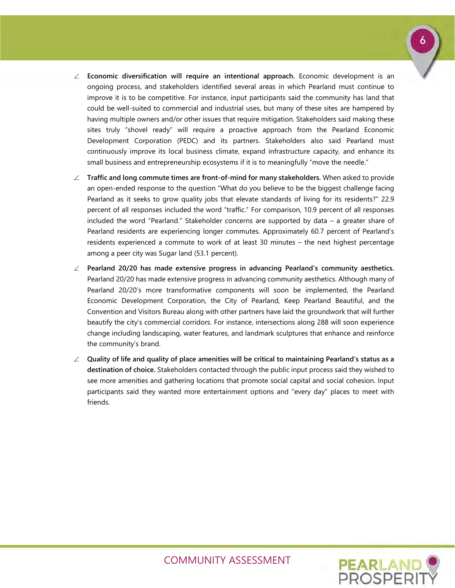

- ∠ **Economic diversification will require an intentional approach.** Economic development is an ongoing process, and stakeholders identified several areas in which Pearland must continue to improve it is to be competitive. For instance, input participants said the community has land that could be well-suited to commercial and industrial uses, but many of these sites are hampered by having multiple owners and/or other issues that require mitigation. Stakeholders said making these sites truly "shovel ready" will require a proactive approach from the Pearland Economic Development Corporation (PEDC) and its partners. Stakeholders also said Pearland must continuously improve its local business climate, expand infrastructure capacity, and enhance its small business and entrepreneurship ecosystems if it is to meaningfully "move the needle."
- ∠ **Traffic and long commute times are front-of-mind for many stakeholders.** When asked to provide an open-ended response to the question "What do you believe to be the biggest challenge facing Pearland as it seeks to grow quality jobs that elevate standards of living for its residents?" 22.9 percent of all responses included the word "traffic." For comparison, 10.9 percent of all responses included the word "Pearland." Stakeholder concerns are supported by data – a greater share of Pearland residents are experiencing longer commutes. Approximately 60.7 percent of Pearland's residents experienced a commute to work of at least 30 minutes – the next highest percentage among a peer city was Sugar land (53.1 percent).
- ∠ **Pearland 20/20 has made extensive progress in advancing Pearland's community aesthetics.** Pearland 20/20 has made extensive progress in advancing community aesthetics. Although many of Pearland 20/20's more transformative components will soon be implemented, the Pearland Economic Development Corporation, the City of Pearland, Keep Pearland Beautiful, and the Convention and Visitors Bureau along with other partners have laid the groundwork that will further beautify the city's commercial corridors. For instance, intersections along 288 will soon experience change including landscaping, water features, and landmark sculptures that enhance and reinforce the community's brand.
- ∠ **Quality of life and quality of place amenities will be critical to maintaining Pearland's status as a destination of choice.** Stakeholders contacted through the public input process said they wished to see more amenities and gathering locations that promote social capital and social cohesion. Input participants said they wanted more entertainment options and "every day" places to meet with friends.

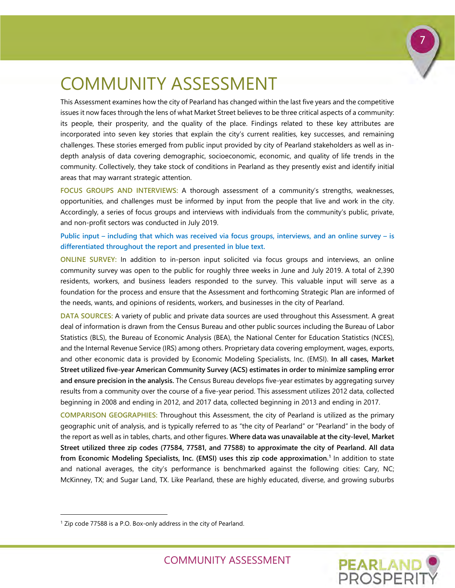# <span id="page-8-0"></span>COMMUNITY ASSESSMENT

This Assessment examines how the city of Pearland has changed within the last five years and the competitive issues it now faces through the lens of what Market Street believes to be three critical aspects of a community: its people, their prosperity, and the quality of the place. Findings related to these key attributes are incorporated into seven key stories that explain the city's current realities, key successes, and remaining challenges. These stories emerged from public input provided by city of Pearland stakeholders as well as indepth analysis of data covering demographic, socioeconomic, economic, and quality of life trends in the community. Collectively, they take stock of conditions in Pearland as they presently exist and identify initial areas that may warrant strategic attention.

**FOCUS GROUPS AND INTERVIEWS:** A thorough assessment of a community's strengths, weaknesses, opportunities, and challenges must be informed by input from the people that live and work in the city. Accordingly, a series of focus groups and interviews with individuals from the community's public, private, and non-profit sectors was conducted in July 2019.

**Public input – including that which was received via focus groups, interviews, and an online survey – is differentiated throughout the report and presented in blue text.** 

**ONLINE SURVEY:** In addition to in-person input solicited via focus groups and interviews, an online community survey was open to the public for roughly three weeks in June and July 2019. A total of 2,390 residents, workers, and business leaders responded to the survey. This valuable input will serve as a foundation for the process and ensure that the Assessment and forthcoming Strategic Plan are informed of the needs, wants, and opinions of residents, workers, and businesses in the city of Pearland.

**DATA SOURCES:** A variety of public and private data sources are used throughout this Assessment. A great deal of information is drawn from the Census Bureau and other public sources including the Bureau of Labor Statistics (BLS), the Bureau of Economic Analysis (BEA), the National Center for Education Statistics (NCES), and the Internal Revenue Service (IRS) among others. Proprietary data covering employment, wages, exports, and other economic data is provided by Economic Modeling Specialists, Inc. (EMSI). **In all cases, Market Street utilized five-year American Community Survey (ACS) estimates in order to minimize sampling error and ensure precision in the analysis.** The Census Bureau develops five-year estimates by aggregating survey results from a community over the course of a five-year period. This assessment utilizes 2012 data, collected beginning in 2008 and ending in 2012, and 2017 data, collected beginning in 2013 and ending in 2017.

**COMPARISON GEOGRAPHIES:** Throughout this Assessment, the city of Pearland is utilized as the primary geographic unit of analysis, and is typically referred to as "the city of Pearland" or "Pearland" in the body of the report as well as in tables, charts, and other figures. **Where data was unavailable at the city-level, Market Street utilized three zip codes (77584, 77581, and 77588) to approximate the city of Pearland. All data from Economic Modeling Specialists, Inc. (EMSI) uses this zip code approximation.[1](#page-8-1)** In addition to state and national averages, the city's performance is benchmarked against the following cities: Cary, NC; McKinney, TX; and Sugar Land, TX. Like Pearland, these are highly educated, diverse, and growing suburbs

-



<span id="page-8-1"></span><sup>&</sup>lt;sup>1</sup> Zip code 77588 is a P.O. Box-only address in the city of Pearland.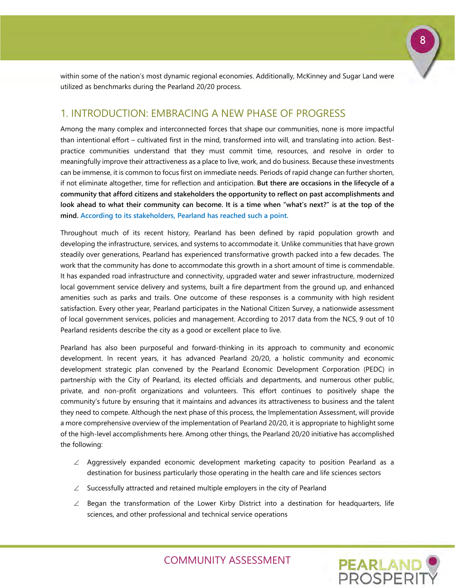within some of the nation's most dynamic regional economies. Additionally, McKinney and Sugar Land were utilized as benchmarks during the Pearland 20/20 process.

### <span id="page-9-0"></span>1. INTRODUCTION: EMBRACING A NEW PHASE OF PROGRESS

Among the many complex and interconnected forces that shape our communities, none is more impactful than intentional effort – cultivated first in the mind, transformed into will, and translating into action. Bestpractice communities understand that they must commit time, resources, and resolve in order to meaningfully improve their attractiveness as a place to live, work, and do business. Because these investments can be immense, it is common to focus first on immediate needs. Periods of rapid change can further shorten, if not eliminate altogether, time for reflection and anticipation. **But there are occasions in the lifecycle of a community that afford citizens and stakeholders the opportunity to reflect on past accomplishments and look ahead to what their community can become. It is a time when "what's next?" is at the top of the mind. According to its stakeholders, Pearland has reached such a point.**

Throughout much of its recent history, Pearland has been defined by rapid population growth and developing the infrastructure, services, and systems to accommodate it. Unlike communities that have grown steadily over generations, Pearland has experienced transformative growth packed into a few decades. The work that the community has done to accommodate this growth in a short amount of time is commendable. It has expanded road infrastructure and connectivity, upgraded water and sewer infrastructure, modernized local government service delivery and systems, built a fire department from the ground up, and enhanced amenities such as parks and trails. One outcome of these responses is a community with high resident satisfaction. Every other year, Pearland participates in the National Citizen Survey, a nationwide assessment of local government services, policies and management. According to 2017 data from the NCS, 9 out of 10 Pearland residents describe the city as a good or excellent place to live.

Pearland has also been purposeful and forward-thinking in its approach to community and economic development. In recent years, it has advanced Pearland 20/20, a holistic community and economic development strategic plan convened by the Pearland Economic Development Corporation (PEDC) in partnership with the City of Pearland, its elected officials and departments, and numerous other public, private, and non-profit organizations and volunteers. This effort continues to positively shape the community's future by ensuring that it maintains and advances its attractiveness to business and the talent they need to compete. Although the next phase of this process, the Implementation Assessment, will provide a more comprehensive overview of the implementation of Pearland 20/20, it is appropriate to highlight some of the high-level accomplishments here. Among other things, the Pearland 20/20 initiative has accomplished the following:

- ∠ Aggressively expanded economic development marketing capacity to position Pearland as a destination for business particularly those operating in the health care and life sciences sectors
- ∠ Successfully attracted and retained multiple employers in the city of Pearland
- $\angle$  Began the transformation of the Lower Kirby District into a destination for headquarters, life sciences, and other professional and technical service operations



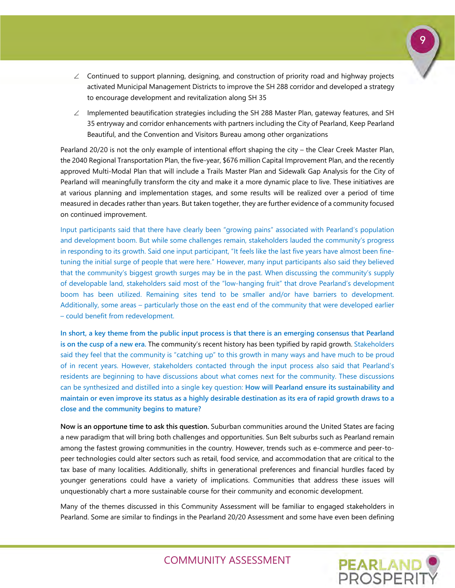- ∠ Continued to support planning, designing, and construction of priority road and highway projects activated Municipal Management Districts to improve the SH 288 corridor and developed a strategy to encourage development and revitalization along SH 35
- ∠ Implemented beautification strategies including the SH 288 Master Plan, gateway features, and SH 35 entryway and corridor enhancements with partners including the City of Pearland, Keep Pearland Beautiful, and the Convention and Visitors Bureau among other organizations

Pearland 20/20 is not the only example of intentional effort shaping the city – the Clear Creek Master Plan, the 2040 Regional Transportation Plan, the five-year, \$676 million Capital Improvement Plan, and the recently approved Multi-Modal Plan that will include a Trails Master Plan and Sidewalk Gap Analysis for the City of Pearland will meaningfully transform the city and make it a more dynamic place to live. These initiatives are at various planning and implementation stages, and some results will be realized over a period of time measured in decades rather than years. But taken together, they are further evidence of a community focused on continued improvement.

Input participants said that there have clearly been "growing pains" associated with Pearland's population and development boom. But while some challenges remain, stakeholders lauded the community's progress in responding to its growth. Said one input participant, "It feels like the last five years have almost been finetuning the initial surge of people that were here." However, many input participants also said they believed that the community's biggest growth surges may be in the past. When discussing the community's supply of developable land, stakeholders said most of the "low-hanging fruit" that drove Pearland's development boom has been utilized. Remaining sites tend to be smaller and/or have barriers to development. Additionally, some areas – particularly those on the east end of the community that were developed earlier – could benefit from redevelopment.

**In short, a key theme from the public input process is that there is an emerging consensus that Pearland is on the cusp of a new era.** The community's recent history has been typified by rapid growth. Stakeholders said they feel that the community is "catching up" to this growth in many ways and have much to be proud of in recent years. However, stakeholders contacted through the input process also said that Pearland's residents are beginning to have discussions about what comes next for the community. These discussions can be synthesized and distilled into a single key question: **How will Pearland ensure its sustainability and maintain or even improve its status as a highly desirable destination as its era of rapid growth draws to a close and the community begins to mature?**

**Now is an opportune time to ask this question.** Suburban communities around the United States are facing a new paradigm that will bring both challenges and opportunities. Sun Belt suburbs such as Pearland remain among the fastest growing communities in the country. However, trends such as e-commerce and peer-topeer technologies could alter sectors such as retail, food service, and accommodation that are critical to the tax base of many localities. Additionally, shifts in generational preferences and financial hurdles faced by younger generations could have a variety of implications. Communities that address these issues will unquestionably chart a more sustainable course for their community and economic development.

Many of the themes discussed in this Community Assessment will be familiar to engaged stakeholders in Pearland. Some are similar to findings in the Pearland 20/20 Assessment and some have even been defining 9

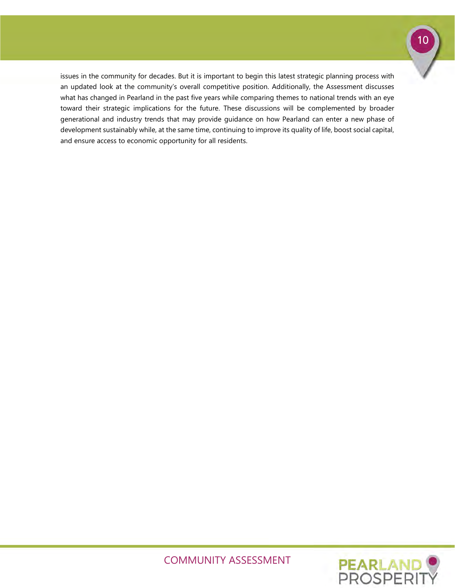

issues in the community for decades. But it is important to begin this latest strategic planning process with an updated look at the community's overall competitive position. Additionally, the Assessment discusses what has changed in Pearland in the past five years while comparing themes to national trends with an eye toward their strategic implications for the future. These discussions will be complemented by broader generational and industry trends that may provide guidance on how Pearland can enter a new phase of development sustainably while, at the same time, continuing to improve its quality of life, boost social capital, and ensure access to economic opportunity for all residents.

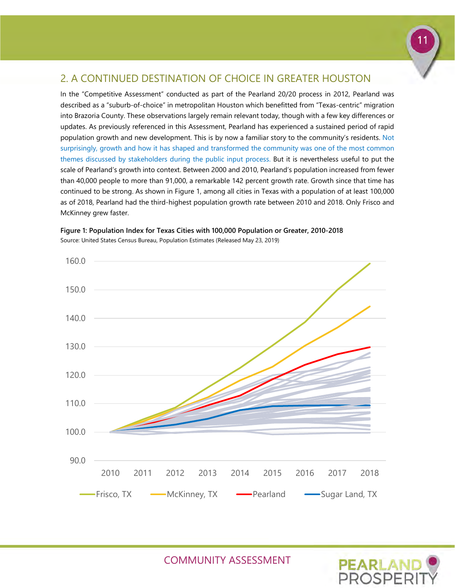# 11

## <span id="page-12-0"></span>2. A CONTINUED DESTINATION OF CHOICE IN GREATER HOUSTON

In the "Competitive Assessment" conducted as part of the Pearland 20/20 process in 2012, Pearland was described as a "suburb-of-choice" in metropolitan Houston which benefitted from "Texas-centric" migration into Brazoria County. These observations largely remain relevant today, though with a few key differences or updates. As previously referenced in this Assessment, Pearland has experienced a sustained period of rapid population growth and new development. This is by now a familiar story to the community's residents. Not surprisingly, growth and how it has shaped and transformed the community was one of the most common themes discussed by stakeholders during the public input process. But it is nevertheless useful to put the scale of Pearland's growth into context. Between 2000 and 2010, Pearland's population increased from fewer than 40,000 people to more than 91,000, a remarkable 142 percent growth rate. Growth since that time has continued to be strong. As shown in Figure 1, among all cities in Texas with a population of at least 100,000 as of 2018, Pearland had the third-highest population growth rate between 2010 and 2018. Only Frisco and McKinney grew faster.



**Figure 1: Population Index for Texas Cities with 100,000 Population or Greater, 2010-2018**  Source: United States Census Bureau, Population Estimates (Released May 23, 2019)

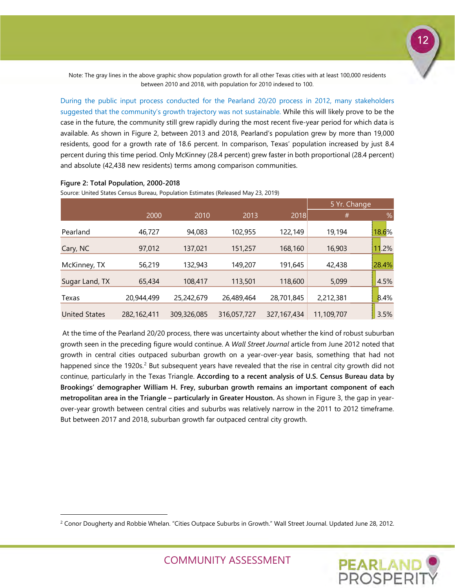Note: The gray lines in the above graphic show population growth for all other Texas cities with at least 100,000 residents between 2010 and 2018, with population for 2010 indexed to 100.

During the public input process conducted for the Pearland 20/20 process in 2012, many stakeholders suggested that the community's growth trajectory was not sustainable. While this will likely prove to be the case in the future, the community still grew rapidly during the most recent five-year period for which data is available. As shown in Figure 2, between 2013 and 2018, Pearland's population grew by more than 19,000 residents, good for a growth rate of 18.6 percent. In comparison, Texas' population increased by just 8.4 percent during this time period. Only McKinney (28.4 percent) grew faster in both proportional (28.4 percent) and absolute (42,438 new residents) terms among comparison communities.

#### **Figure 2: Total Population, 2000-2018**

-

Source: United States Census Bureau, Population Estimates (Released May 23, 2019)

|                      |             |             |             |             | 5 Yr. Change |       |
|----------------------|-------------|-------------|-------------|-------------|--------------|-------|
|                      | 2000        | 2010        | 2013        | 2018        | #            | %     |
| Pearland             | 46,727      | 94,083      | 102,955     | 122,149     | 19,194       | 18.6% |
| Cary, NC             | 97,012      | 137,021     | 151,257     | 168,160     | 16,903       | .2%   |
| McKinney, TX         | 56,219      | 132,943     | 149,207     | 191,645     | 42,438       | 28.4% |
| Sugar Land, TX       | 65,434      | 108,417     | 113,501     | 118,600     | 5,099        | 4.5%  |
| Texas                | 20,944,499  | 25,242,679  | 26,489,464  | 28,701,845  | 2,212,381    | 8.4%  |
| <b>United States</b> | 282,162,411 | 309,326,085 | 316,057,727 | 327,167,434 | 11,109,707   | 3.5%  |

At the time of the Pearland 20/20 process, there was uncertainty about whether the kind of robust suburban growth seen in the preceding figure would continue. A *Wall Street Journal* article from June 2012 noted that growth in central cities outpaced suburban growth on a year-over-year basis, something that had not happened since the 19[2](#page-13-0)0s.<sup>2</sup> But subsequent years have revealed that the rise in central city growth did not continue, particularly in the Texas Triangle. **According to a recent analysis of U.S. Census Bureau data by Brookings' demographer William H. Frey, suburban growth remains an important component of each metropolitan area in the Triangle – particularly in Greater Houston.** As shown in Figure 3, the gap in yearover-year growth between central cities and suburbs was relatively narrow in the 2011 to 2012 timeframe. But between 2017 and 2018, suburban growth far outpaced central city growth.

<span id="page-13-0"></span><sup>&</sup>lt;sup>2</sup> Conor Dougherty and Robbie Whelan. "Cities Outpace Suburbs in Growth." Wall Street Journal. Updated June 28, 2012.

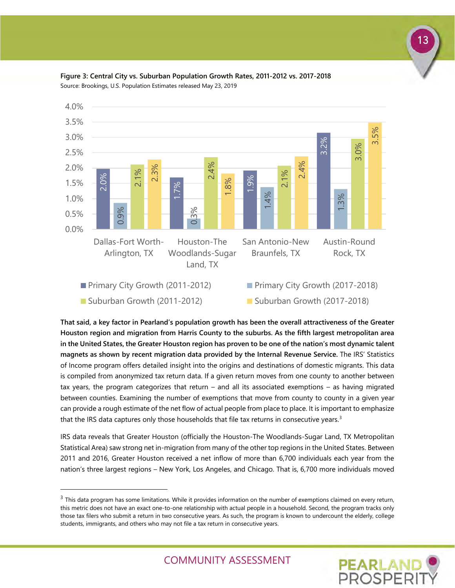



**That said, a key factor in Pearland's population growth has been the overall attractiveness of the Greater Houston region and migration from Harris County to the suburbs. As the fifth largest metropolitan area in the United States, the Greater Houston region has proven to be one of the nation's most dynamic talent magnets as shown by recent migration data provided by the Internal Revenue Service.** The IRS' Statistics of Income program offers detailed insight into the origins and destinations of domestic migrants. This data is compiled from anonymized tax return data. If a given return moves from one county to another between tax years, the program categorizes that return – and all its associated exemptions – as having migrated between counties. Examining the number of exemptions that move from county to county in a given year can provide a rough estimate of the net flow of actual people from place to place. It is important to emphasize that the IRS data captures only those households that file tax returns in consecutive years.<sup>[3](#page-14-0)</sup>

IRS data reveals that Greater Houston (officially the Houston-The Woodlands-Sugar Land, TX Metropolitan Statistical Area) saw strong net in-migration from many of the other top regions in the United States. Between 2011 and 2016, Greater Houston received a net inflow of more than 6,700 individuals each year from the nation's three largest regions – New York, Los Angeles, and Chicago. That is, 6,700 more individuals moved

-



<span id="page-14-0"></span> $3$  This data program has some limitations. While it provides information on the number of exemptions claimed on every return, this metric does not have an exact one-to-one relationship with actual people in a household. Second, the program tracks only those tax filers who submit a return in two consecutive years. As such, the program is known to undercount the elderly, college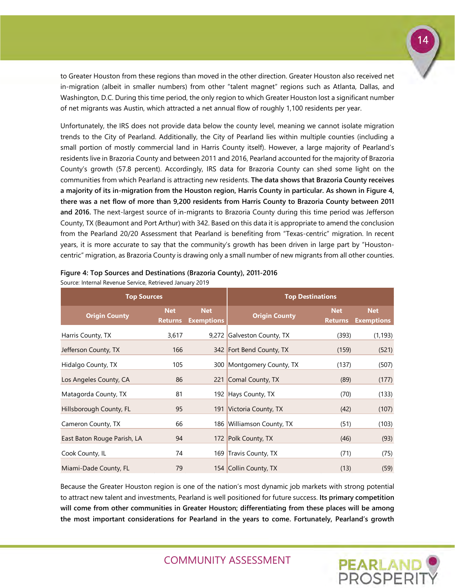to Greater Houston from these regions than moved in the other direction. Greater Houston also received net in-migration (albeit in smaller numbers) from other "talent magnet" regions such as Atlanta, Dallas, and Washington, D.C. During this time period, the only region to which Greater Houston lost a significant number of net migrants was Austin, which attracted a net annual flow of roughly 1,100 residents per year.

Unfortunately, the IRS does not provide data below the county level, meaning we cannot isolate migration trends to the City of Pearland. Additionally, the City of Pearland lies within multiple counties (including a small portion of mostly commercial land in Harris County itself). However, a large majority of Pearland's residents live in Brazoria County and between 2011 and 2016, Pearland accounted for the majority of Brazoria County's growth (57.8 percent). Accordingly, IRS data for Brazoria County can shed some light on the communities from which Pearland is attracting new residents. **The data shows that Brazoria County receives a majority of its in-migration from the Houston region, Harris County in particular. As shown in Figure 4, there was a net flow of more than 9,200 residents from Harris County to Brazoria County between 2011 and 2016.** The next-largest source of in-migrants to Brazoria County during this time period was Jefferson County, TX (Beaumont and Port Arthur) with 342. Based on this data it is appropriate to amend the conclusion from the Pearland 20/20 Assessment that Pearland is benefiting from "Texas-centric" migration. In recent years, it is more accurate to say that the community's growth has been driven in large part by "Houstoncentric" migration, as Brazoria County is drawing only a small number of new migrants from all other counties.

|  |  | Figure 4: Top Sources and Destinations (Brazoria County), 2011-2016 |
|--|--|---------------------------------------------------------------------|

| <b>Top Sources</b>          |                              |                                 | <b>Top Destinations</b>    |                              |                                 |  |  |
|-----------------------------|------------------------------|---------------------------------|----------------------------|------------------------------|---------------------------------|--|--|
| <b>Origin County</b>        | <b>Net</b><br><b>Returns</b> | <b>Net</b><br><b>Exemptions</b> | <b>Origin County</b>       | <b>Net</b><br><b>Returns</b> | <b>Net</b><br><b>Exemptions</b> |  |  |
| Harris County, TX           | 3,617                        |                                 | 9,272 Galveston County, TX | (393)                        | (1, 193)                        |  |  |
| Jefferson County, TX        | 166                          |                                 | 342 Fort Bend County, TX   | (159)                        | (521)                           |  |  |
| Hidalgo County, TX          | 105                          |                                 | 300 Montgomery County, TX  | (137)                        | (507)                           |  |  |
| Los Angeles County, CA      | 86                           |                                 | 221 Comal County, TX       | (89)                         | (177)                           |  |  |
| Matagorda County, TX        | 81                           |                                 | 192 Hays County, TX        | (70)                         | (133)                           |  |  |
| Hillsborough County, FL     | 95                           |                                 | 191 Victoria County, TX    | (42)                         | (107)                           |  |  |
| Cameron County, TX          | 66                           |                                 | 186 Williamson County, TX  | (51)                         | (103)                           |  |  |
| East Baton Rouge Parish, LA | 94                           |                                 | 172 Polk County, TX        | (46)                         | (93)                            |  |  |
| Cook County, IL             | 74                           |                                 | 169 Travis County, TX      | (71)                         | (75)                            |  |  |
| Miami-Dade County, FL       | 79                           |                                 | 154 Collin County, TX      | (13)                         | (59)                            |  |  |

Source: Internal Revenue Service, Retrieved January 2019

Because the Greater Houston region is one of the nation's most dynamic job markets with strong potential to attract new talent and investments, Pearland is well positioned for future success. **Its primary competition will come from other communities in Greater Houston; differentiating from these places will be among the most important considerations for Pearland in the years to come. Fortunately, Pearland's growth** 

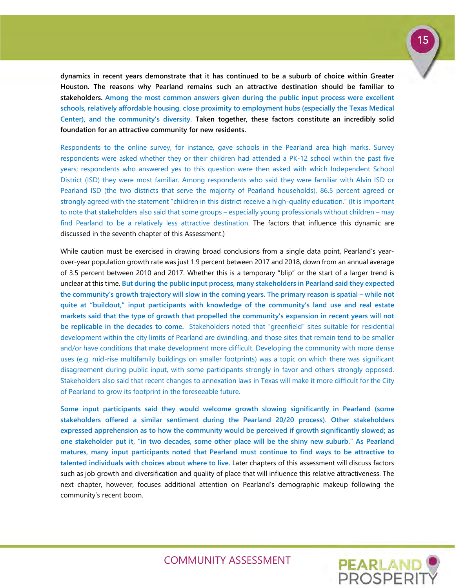

**dynamics in recent years demonstrate that it has continued to be a suburb of choice within Greater Houston. The reasons why Pearland remains such an attractive destination should be familiar to stakeholders. Among the most common answers given during the public input process were excellent schools, relatively affordable housing, close proximity to employment hubs (especially the Texas Medical Center), and the community's diversity. Taken together, these factors constitute an incredibly solid foundation for an attractive community for new residents.**

Respondents to the online survey, for instance, gave schools in the Pearland area high marks. Survey respondents were asked whether they or their children had attended a PK-12 school within the past five years; respondents who answered yes to this question were then asked with which Independent School District (ISD) they were most familiar. Among respondents who said they were familiar with Alvin ISD or Pearland ISD (the two districts that serve the majority of Pearland households), 86.5 percent agreed or strongly agreed with the statement "children in this district receive a high-quality education." (It is important to note that stakeholders also said that some groups – especially young professionals without children – may find Pearland to be a relatively less attractive destination. The factors that influence this dynamic are discussed in the seventh chapter of this Assessment.)

While caution must be exercised in drawing broad conclusions from a single data point, Pearland's yearover-year population growth rate was just 1.9 percent between 2017 and 2018, down from an annual average of 3.5 percent between 2010 and 2017. Whether this is a temporary "blip" or the start of a larger trend is unclear at this time. **But during the public input process, many stakeholders in Pearland said they expected the community's growth trajectory will slow in the coming years. The primary reason is spatial – while not quite at "buildout," input participants with knowledge of the community's land use and real estate markets said that the type of growth that propelled the community's expansion in recent years will not be replicable in the decades to come.** Stakeholders noted that "greenfield" sites suitable for residential development within the city limits of Pearland are dwindling, and those sites that remain tend to be smaller and/or have conditions that make development more difficult. Developing the community with more dense uses (e.g. mid-rise multifamily buildings on smaller footprints) was a topic on which there was significant disagreement during public input, with some participants strongly in favor and others strongly opposed. Stakeholders also said that recent changes to annexation laws in Texas will make it more difficult for the City of Pearland to grow its footprint in the foreseeable future.

**Some input participants said they would welcome growth slowing significantly in Pearland (some stakeholders offered a similar sentiment during the Pearland 20/20 process). Other stakeholders expressed apprehension as to how the community would be perceived if growth significantly slowed; as one stakeholder put it, "in two decades, some other place will be the shiny new suburb." As Pearland matures, many input participants noted that Pearland must continue to find ways to be attractive to talented individuals with choices about where to live.** Later chapters of this assessment will discuss factors such as job growth and diversification and quality of place that will influence this relative attractiveness. The next chapter, however, focuses additional attention on Pearland's demographic makeup following the community's recent boom.

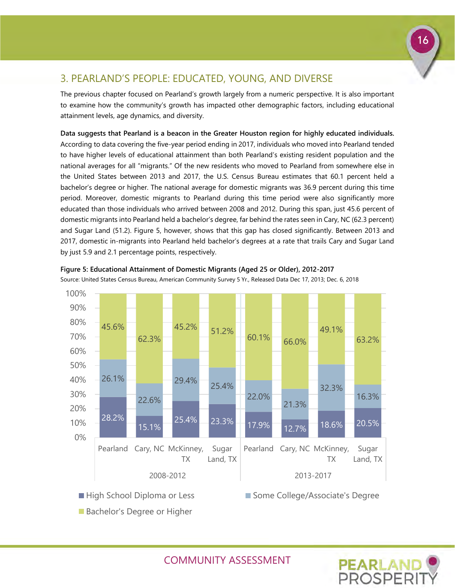## <span id="page-17-0"></span>3. PEARLAND'S PEOPLE: EDUCATED, YOUNG, AND DIVERSE

The previous chapter focused on Pearland's growth largely from a numeric perspective. It is also important to examine how the community's growth has impacted other demographic factors, including educational attainment levels, age dynamics, and diversity.

**Data suggests that Pearland is a beacon in the Greater Houston region for highly educated individuals.**  According to data covering the five-year period ending in 2017, individuals who moved into Pearland tended to have higher levels of educational attainment than both Pearland's existing resident population and the national averages for all "migrants." Of the new residents who moved to Pearland from somewhere else in the United States between 2013 and 2017, the U.S. Census Bureau estimates that 60.1 percent held a bachelor's degree or higher. The national average for domestic migrants was 36.9 percent during this time period. Moreover, domestic migrants to Pearland during this time period were also significantly more educated than those individuals who arrived between 2008 and 2012. During this span, just 45.6 percent of domestic migrants into Pearland held a bachelor's degree, far behind the rates seen in Cary, NC (62.3 percent) and Sugar Land (51.2). Figure 5, however, shows that this gap has closed significantly. Between 2013 and 2017, domestic in-migrants into Pearland held bachelor's degrees at a rate that trails Cary and Sugar Land by just 5.9 and 2.1 percentage points, respectively.



**Figure 5: Educational Attainment of Domestic Migrants (Aged 25 or Older), 2012-2017**

Source: United States Census Bureau, American Community Survey 5 Yr., Released Data Dec 17, 2013; Dec. 6, 2018



COMMUNITY ASSESSMENT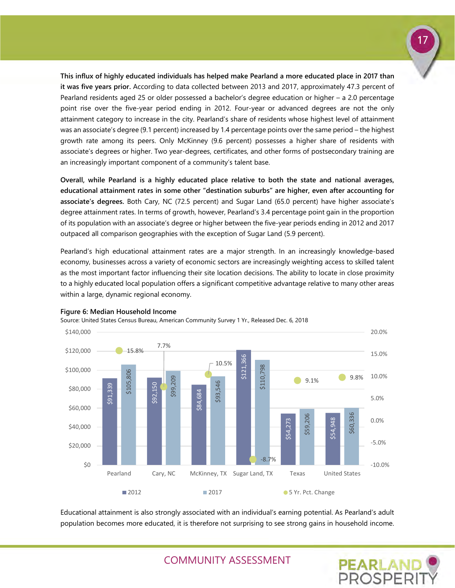**This influx of highly educated individuals has helped make Pearland a more educated place in 2017 than it was five years prior.** According to data collected between 2013 and 2017, approximately 47.3 percent of Pearland residents aged 25 or older possessed a bachelor's degree education or higher – a 2.0 percentage point rise over the five-year period ending in 2012. Four-year or advanced degrees are not the only attainment category to increase in the city. Pearland's share of residents whose highest level of attainment was an associate's degree (9.1 percent) increased by 1.4 percentage points over the same period – the highest growth rate among its peers. Only McKinney (9.6 percent) possesses a higher share of residents with associate's degrees or higher. Two year-degrees, certificates, and other forms of postsecondary training are an increasingly important component of a community's talent base.

**Overall, while Pearland is a highly educated place relative to both the state and national averages, educational attainment rates in some other "destination suburbs" are higher, even after accounting for associate's degrees.** Both Cary, NC (72.5 percent) and Sugar Land (65.0 percent) have higher associate's degree attainment rates. In terms of growth, however, Pearland's 3.4 percentage point gain in the proportion of its population with an associate's degree or higher between the five-year periods ending in 2012 and 2017 outpaced all comparison geographies with the exception of Sugar Land (5.9 percent).

Pearland's high educational attainment rates are a major strength. In an increasingly knowledge-based economy, businesses across a variety of economic sectors are increasingly weighting access to skilled talent as the most important factor influencing their site location decisions. The ability to locate in close proximity to a highly educated local population offers a significant competitive advantage relative to many other areas within a large, dynamic regional economy.



#### **Figure 6: Median Household Income**

Source: United States Census Bureau, American Community Survey 1 Yr., Released Dec. 6, 2018

Educational attainment is also strongly associated with an individual's earning potential. As Pearland's adult



17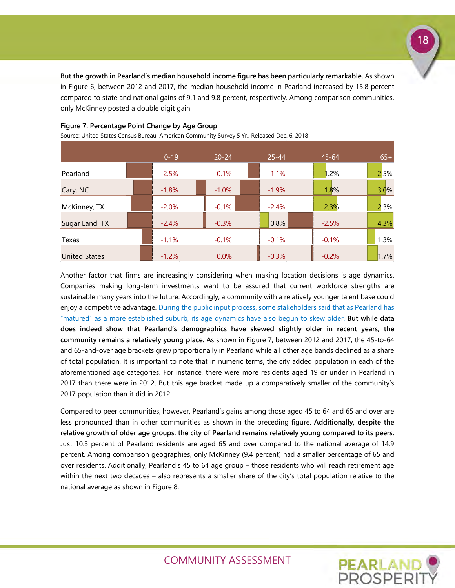**But the growth in Pearland's median household income figure has been particularly remarkable.** As shown in Figure 6, between 2012 and 2017, the median household income in Pearland increased by 15.8 percent compared to state and national gains of 9.1 and 9.8 percent, respectively. Among comparison communities, only McKinney posted a double digit gain.

|                      | $0 - 19$ | $20 - 24$ | $25 - 44$ | $45 - 64$ | $65+$ |
|----------------------|----------|-----------|-----------|-----------|-------|
| Pearland             | $-2.5%$  | $-0.1%$   | $-1.1%$   | .2%       | 2,5%  |
| Cary, NC             | $-1.8%$  | $-1.0\%$  | $-1.9%$   | 1.8%      | 3.0%  |
| McKinney, TX         | $-2.0%$  | $-0.1%$   | $-2.4%$   | 2.3%      | 2.3%  |
| Sugar Land, TX       | $-2.4%$  | $-0.3%$   | 0.8%      | $-2.5%$   | 4.3%  |
| Texas                | $-1.1%$  | $-0.1%$   | $-0.1%$   | $-0.1%$   | 1.3%  |
| <b>United States</b> | $-1.2%$  | $0.0\%$   | $-0.3%$   | $-0.2%$   | 1.7%  |

#### **Figure 7: Percentage Point Change by Age Group**

Source: United States Census Bureau, American Community Survey 5 Yr., Released Dec. 6, 2018

Another factor that firms are increasingly considering when making location decisions is age dynamics. Companies making long-term investments want to be assured that current workforce strengths are sustainable many years into the future. Accordingly, a community with a relatively younger talent base could enjoy a competitive advantage. During the public input process, some stakeholders said that as Pearland has "matured" as a more established suburb, its age dynamics have also begun to skew older. **But while data does indeed show that Pearland's demographics have skewed slightly older in recent years, the community remains a relatively young place.** As shown in Figure 7, between 2012 and 2017, the 45-to-64 and 65-and-over age brackets grew proportionally in Pearland while all other age bands declined as a share of total population. It is important to note that in numeric terms, the city added population in each of the aforementioned age categories. For instance, there were more residents aged 19 or under in Pearland in 2017 than there were in 2012. But this age bracket made up a comparatively smaller of the community's 2017 population than it did in 2012.

Compared to peer communities, however, Pearland's gains among those aged 45 to 64 and 65 and over are less pronounced than in other communities as shown in the preceding figure. **Additionally, despite the relative growth of older age groups, the city of Pearland remains relatively young compared to its peers.** Just 10.3 percent of Pearland residents are aged 65 and over compared to the national average of 14.9 percent. Among comparison geographies, only McKinney (9.4 percent) had a smaller percentage of 65 and over residents. Additionally, Pearland's 45 to 64 age group – those residents who will reach retirement age within the next two decades – also represents a smaller share of the city's total population relative to the national average as shown in Figure 8.

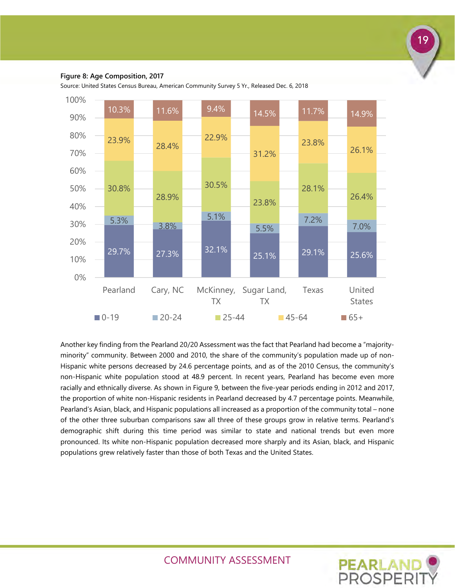

#### **Figure 8: Age Composition, 2017**

Source: United States Census Bureau, American Community Survey 5 Yr., Released Dec. 6, 2018



Another key finding from the Pearland 20/20 Assessment was the fact that Pearland had become a "majorityminority" community. Between 2000 and 2010, the share of the community's population made up of non-Hispanic white persons decreased by 24.6 percentage points, and as of the 2010 Census, the community's non-Hispanic white population stood at 48.9 percent. In recent years, Pearland has become even more racially and ethnically diverse. As shown in Figure 9, between the five-year periods ending in 2012 and 2017, the proportion of white non-Hispanic residents in Pearland decreased by 4.7 percentage points. Meanwhile, Pearland's Asian, black, and Hispanic populations all increased as a proportion of the community total – none of the other three suburban comparisons saw all three of these groups grow in relative terms. Pearland's demographic shift during this time period was similar to state and national trends but even more pronounced. Its white non-Hispanic population decreased more sharply and its Asian, black, and Hispanic populations grew relatively faster than those of both Texas and the United States.

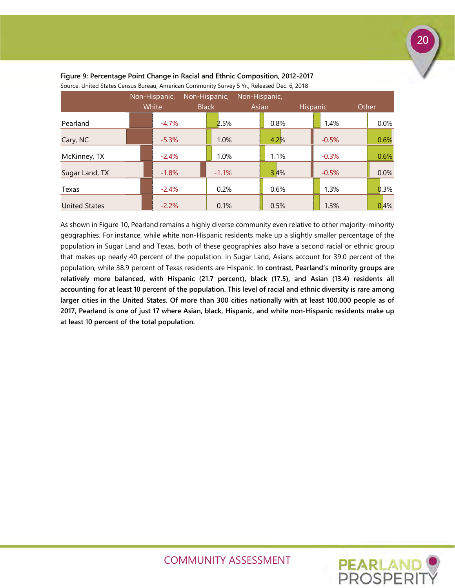|                      | Non-Hispanic,<br>Non-Hispanic, |  |              | Non-Hispanic, |       |      |                 |  |       |
|----------------------|--------------------------------|--|--------------|---------------|-------|------|-----------------|--|-------|
|                      | White                          |  | <b>Black</b> |               | Asian |      | <b>Hispanic</b> |  | Other |
| Pearland             | $-4.7\%$                       |  | 2.5%         |               | 0.8%  |      | 1.4%            |  | 0.0%  |
| Cary, NC             | $-5.3%$                        |  | 1.0%         |               | 4.2%  |      | $-0.5%$         |  | 0.6%  |
| McKinney, TX         | $-2.4%$                        |  | 1.0%         |               |       | 1.1% | $-0.3%$         |  | 0.6%  |
| Sugar Land, TX       | $-1.8%$                        |  | $-1.1%$      |               |       | 3.4% | $-0.5%$         |  | 0.0%  |
| Texas                | $-2.4%$                        |  | 0.2%         |               | 0.6%  |      | 1.3%            |  | 0.3%  |
| <b>United States</b> | $-2.2%$                        |  | 0.1%         |               | 0.5%  |      | 1.3%            |  | 0.4%  |

#### **Figure 9: Percentage Point Change in Racial and Ethnic Composition, 2012-2017** Source: United States Census Bureau, American Community Survey 5 Yr., Released Dec. 6, 2018

As shown in Figure 10, Pearland remains a highly diverse community even relative to other majority-minority geographies. For instance, while white non-Hispanic residents make up a slightly smaller percentage of the population in Sugar Land and Texas, both of these geographies also have a second racial or ethnic group that makes up nearly 40 percent of the population. In Sugar Land, Asians account for 39.0 percent of the population, while 38.9 percent of Texas residents are Hispanic. **In contrast, Pearland's minority groups are relatively more balanced, with Hispanic (21.7 percent), black (17.5), and Asian (13.4) residents all accounting for at least 10 percent of the population. This level of racial and ethnic diversity is rare among larger cities in the United States. Of more than 300 cities nationally with at least 100,000 people as of 2017, Pearland is one of just 17 where Asian, black, Hispanic, and white non-Hispanic residents make up at least 10 percent of the total population.** 



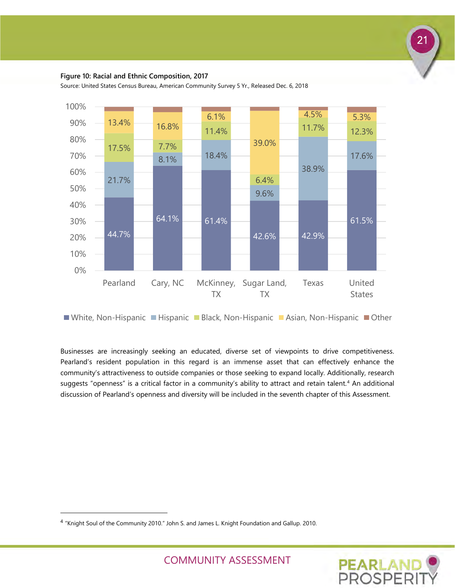#### **Figure 10: Racial and Ethnic Composition, 2017**

44.7%  $64.1\%$  61.4% 42.6% 42.9% 61.5% 21.7% 8.1% 18.4% 9.6% 38.9% 17.6% 17.5% 7.7% 11.4% 6.4% 11.7% 12.3% 13.4% 16.8% 6.1% 39.0% 4.5% 5.3% 0% 10% 20% 30% 40% 50% 60% 70% 80% 90% 100% Pearland Cary, NC McKinney, Sugar Land, TX TX Texas United **States** 

Source: United States Census Bureau, American Community Survey 5 Yr., Released Dec. 6, 2018

■White, Non-Hispanic ■Hispanic ■Black, Non-Hispanic ■Asian, Non-Hispanic ■Other

Businesses are increasingly seeking an educated, diverse set of viewpoints to drive competitiveness. Pearland's resident population in this regard is an immense asset that can effectively enhance the community's attractiveness to outside companies or those seeking to expand locally. Additionally, research suggests "openness" is a critical factor in a community's ability to attract and retain talent.<sup>[4](#page-22-0)</sup> An additional discussion of Pearland's openness and diversity will be included in the seventh chapter of this Assessment.

-



<span id="page-22-0"></span><sup>4</sup> "Knight Soul of the Community 2010." John S. and James L. Knight Foundation and Gallup. 2010.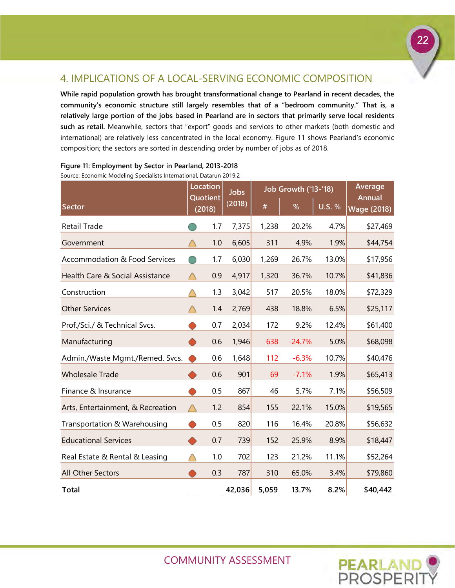# <span id="page-23-0"></span>4. IMPLICATIONS OF A LOCAL-SERVING ECONOMIC COMPOSITION

**While rapid population growth has brought transformational change to Pearland in recent decades, the community's economic structure still largely resembles that of a "bedroom community." That is, a relatively large portion of the jobs based in Pearland are in sectors that primarily serve local residents such as retail.** Meanwhile, sectors that "export" goods and services to other markets (both domestic and international) are relatively less concentrated in the local economy. Figure 11 shows Pearland's economic composition; the sectors are sorted in descending order by number of jobs as of 2018.

|                                          |        | Location           | <b>Jobs</b> |       | <b>Job Growth ('13-'18)</b> | Average       |                                     |
|------------------------------------------|--------|--------------------|-------------|-------|-----------------------------|---------------|-------------------------------------|
| Sector                                   |        | Quotient<br>(2018) | (2018)      | #     | %                           | <b>U.S. %</b> | <b>Annual</b><br><b>Wage (2018)</b> |
| <b>Retail Trade</b>                      |        | 1.7                | 7,375       | 1,238 | 20.2%                       | 4.7%          | \$27,469                            |
| Government                               |        | 1.0                | 6,605       | 311   | 4.9%                        | 1.9%          | \$44,754                            |
| <b>Accommodation &amp; Food Services</b> |        | 1.7                | 6,030       | 1,269 | 26.7%                       | 13.0%         | \$17,956                            |
| Health Care & Social Assistance          |        | 0.9                | 4,917       | 1,320 | 36.7%                       | 10.7%         | \$41,836                            |
| Construction                             |        | 1.3                | 3,042       | 517   | 20.5%                       | 18.0%         | \$72,329                            |
| <b>Other Services</b>                    |        | 1.4                | 2,769       | 438   | 18.8%                       | 6.5%          | \$25,117                            |
| Prof./Sci./ & Technical Svcs.            |        | 0.7                | 2,034       | 172   | 9.2%                        | 12.4%         | \$61,400                            |
| Manufacturing                            | $\cup$ | 0.6                | 1,946       | 638   | $-24.7%$                    | 5.0%          | \$68,098                            |
| Admin./Waste Mgmt./Remed. Svcs.          |        | 0.6                | 1,648       | 112   | $-6.3%$                     | 10.7%         | \$40,476                            |
| <b>Wholesale Trade</b>                   |        | 0.6                | 901         | 69    | $-7.1%$                     | 1.9%          | \$65,413                            |
| Finance & Insurance                      |        | 0.5                | 867         | 46    | 5.7%                        | 7.1%          | \$56,509                            |
| Arts, Entertainment, & Recreation        |        | 1.2                | 854         | 155   | 22.1%                       | 15.0%         | \$19,565                            |
| Transportation & Warehousing             |        | 0.5                | 820         | 116   | 16.4%                       | 20.8%         | \$56,632                            |
| <b>Educational Services</b>              |        | 0.7                | 739         | 152   | 25.9%                       | 8.9%          | \$18,447                            |
| Real Estate & Rental & Leasing           |        | 1.0                | 702         | 123   | 21.2%                       | 11.1%         | \$52,264                            |
| All Other Sectors                        |        | 0.3                | 787         | 310   | 65.0%                       | 3.4%          | \$79,860                            |
| <b>Total</b>                             |        |                    | 42,036      | 5,059 | 13.7%                       | 8.2%          | \$40,442                            |

#### **Figure 11: Employment by Sector in Pearland, 2013-2018** Source: Economic Modeling Specialists International, Datarun 2019.2

COMMUNITY ASSESSMENT

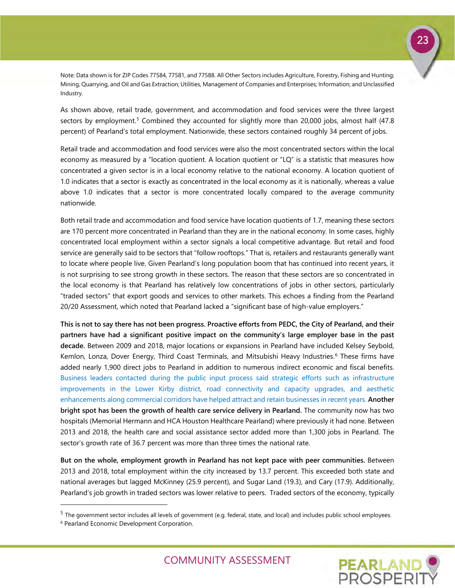23

Note: Data shown is for ZIP Codes 77584, 77581, and 77588. All Other Sectors includes Agriculture, Forestry, Fishing and Hunting; Mining, Quarrying, and Oil and Gas Extraction; Utilities, Management of Companies and Enterprises; Information; and Unclassified Industry.

As shown above, retail trade, government, and accommodation and food services were the three largest sectors by employment.<sup>[5](#page-24-0)</sup> Combined they accounted for slightly more than 20,000 jobs, almost half (47.8) percent) of Pearland's total employment. Nationwide, these sectors contained roughly 34 percent of jobs.

Retail trade and accommodation and food services were also the most concentrated sectors within the local economy as measured by a "location quotient. A location quotient or "LQ" is a statistic that measures how concentrated a given sector is in a local economy relative to the national economy. A location quotient of 1.0 indicates that a sector is exactly as concentrated in the local economy as it is nationally, whereas a value above 1.0 indicates that a sector is more concentrated locally compared to the average community nationwide.

Both retail trade and accommodation and food service have location quotients of 1.7, meaning these sectors are 170 percent more concentrated in Pearland than they are in the national economy. In some cases, highly concentrated local employment within a sector signals a local competitive advantage. But retail and food service are generally said to be sectors that "follow rooftops." That is, retailers and restaurants generally want to locate where people live. Given Pearland's long population boom that has continued into recent years, it is not surprising to see strong growth in these sectors. The reason that these sectors are so concentrated in the local economy is that Pearland has relatively low concentrations of jobs in other sectors, particularly "traded sectors" that export goods and services to other markets. This echoes a finding from the Pearland 20/20 Assessment, which noted that Pearland lacked a "significant base of high-value employers."

**This is not to say there has not been progress. Proactive efforts from PEDC, the City of Pearland, and their partners have had a significant positive impact on the community's large employer base in the past decade.** Between 2009 and 2018, major locations or expansions in Pearland have included Kelsey Seybold, Kemlon, Lonza, Dover Energy, Third Coast Terminals, and Mitsubishi Heavy Industries.<sup>[6](#page-24-1)</sup> These firms have added nearly 1,900 direct jobs to Pearland in addition to numerous indirect economic and fiscal benefits. Business leaders contacted during the public input process said strategic efforts such as infrastructure improvements in the Lower Kirby district, road connectivity and capacity upgrades, and aesthetic enhancements along commercial corridors have helped attract and retain businesses in recent years. **Another bright spot has been the growth of health care service delivery in Pearland.** The community now has two hospitals (Memorial Hermann and HCA Houston Healthcare Pearland) where previously it had none. Between 2013 and 2018, the health care and social assistance sector added more than 1,300 jobs in Pearland. The sector's growth rate of 36.7 percent was more than three times the national rate.

**But on the whole, employment growth in Pearland has not kept pace with peer communities.** Between 2013 and 2018, total employment within the city increased by 13.7 percent. This exceeded both state and national averages but lagged McKinney (25.9 percent), and Sugar Land (19.3), and Cary (17.9). Additionally, Pearland's job growth in traded sectors was lower relative to peers. Traded sectors of the economy, typically

-



<span id="page-24-0"></span> $5$  The government sector includes all levels of government (e.g. federal, state, and local) and includes public school employees.

<span id="page-24-1"></span><sup>6</sup> Pearland Economic Development Corporation.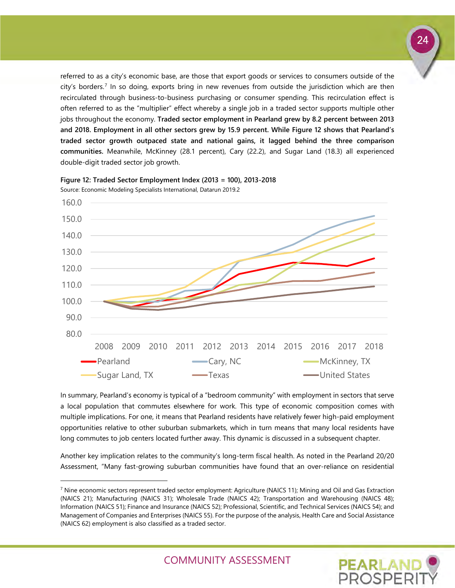referred to as a city's economic base, are those that export goods or services to consumers outside of the city's borders.<sup>[7](#page-25-0)</sup> In so doing, exports bring in new revenues from outside the jurisdiction which are then recirculated through business-to-business purchasing or consumer spending. This recirculation effect is often referred to as the "multiplier" effect whereby a single job in a traded sector supports multiple other jobs throughout the economy. **Traded sector employment in Pearland grew by 8.2 percent between 2013 and 2018. Employment in all other sectors grew by 15.9 percent. While Figure 12 shows that Pearland's traded sector growth outpaced state and national gains, it lagged behind the three comparison communities.** Meanwhile, McKinney (28.1 percent), Cary (22.2), and Sugar Land (18.3) all experienced double-digit traded sector job growth.



**Figure 12: Traded Sector Employment Index (2013 = 100), 2013-2018** Source: Economic Modeling Specialists International, Datarun 2019.2

-

In summary, Pearland's economy is typical of a "bedroom community" with employment in sectors that serve a local population that commutes elsewhere for work. This type of economic composition comes with multiple implications. For one, it means that Pearland residents have relatively fewer high-paid employment opportunities relative to other suburban submarkets, which in turn means that many local residents have long commutes to job centers located further away. This dynamic is discussed in a subsequent chapter.

Another key implication relates to the community's long-term fiscal health. As noted in the Pearland 20/20 Assessment, "Many fast-growing suburban communities have found that an over-reliance on residential

<span id="page-25-0"></span> $^7$  Nine economic sectors represent traded sector employment: Agriculture (NAICS 11); Mining and Oil and Gas Extraction (NAICS 21); Manufacturing (NAICS 31); Wholesale Trade (NAICS 42); Transportation and Warehousing (NAICS 48); Information (NAICS 51); Finance and Insurance (NAICS 52); Professional, Scientific, and Technical Services (NAICS 54); and Management of Companies and Enterprises (NAICS 55). For the purpose of the analysis, Health Care and Social Assistance (NAICS 62) employment is also classified as a traded sector.



COMMUNITY ASSESSMENT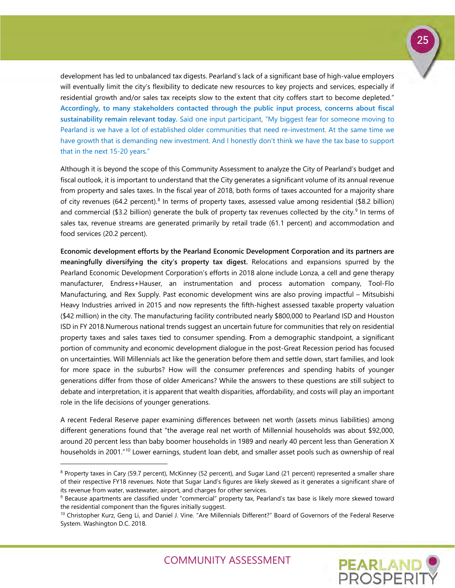

Although it is beyond the scope of this Community Assessment to analyze the City of Pearland's budget and fiscal outlook, it is important to understand that the City generates a significant volume of its annual revenue from property and sales taxes. In the fiscal year of 2018, both forms of taxes accounted for a majority share of city revenues (64.2 percent).<sup>[8](#page-26-0)</sup> In terms of property taxes, assessed value among residential (\$8.2 billion) and commercial (\$3.2 billion) generate the bulk of property tax revenues collected by the city.<sup>[9](#page-26-1)</sup> In terms of sales tax, revenue streams are generated primarily by retail trade (61.1 percent) and accommodation and food services (20.2 percent).

**Economic development efforts by the Pearland Economic Development Corporation and its partners are meaningfully diversifying the city's property tax digest.** Relocations and expansions spurred by the Pearland Economic Development Corporation's efforts in 2018 alone include Lonza, a cell and gene therapy manufacturer, Endress+Hauser, an instrumentation and process automation company, Tool-Flo Manufacturing, and Rex Supply. Past economic development wins are also proving impactful – Mitsubishi Heavy Industries arrived in 2015 and now represents the fifth-highest assessed taxable property valuation (\$42 million) in the city. The manufacturing facility contributed nearly \$800,000 to Pearland ISD and Houston ISD in FY 2018.Numerous national trends suggest an uncertain future for communities that rely on residential property taxes and sales taxes tied to consumer spending. **F**rom a demographic standpoint, a significant portion of community and economic development dialogue in the post-Great Recession period has focused on uncertainties. Will Millennials act like the generation before them and settle down, start families, and look for more space in the suburbs? How will the consumer preferences and spending habits of younger generations differ from those of older Americans? While the answers to these questions are still subject to debate and interpretation, it is apparent that wealth disparities, affordability, and costs will play an important role in the life decisions of younger generations.

A recent Federal Reserve paper examining differences between net worth (assets minus liabilities) among different generations found that "the average real net worth of Millennial households was about \$92,000, around 20 percent less than baby boomer households in 1989 and nearly 40 percent less than Generation X households in 2001."<sup>[10](#page-26-2)</sup> Lower earnings, student loan debt, and smaller asset pools such as ownership of real

-

25

**PEARLAND** 

<span id="page-26-0"></span><sup>&</sup>lt;sup>8</sup> Property taxes in Cary (59.7 percent), McKinney (52 percent), and Sugar Land (21 percent) represented a smaller share of their respective FY18 revenues. Note that Sugar Land's figures are likely skewed as it generates a significant share of its revenue from water, wastewater, airport, and charges for other services.<br><sup>9</sup> Because apartments are classified under "commercial" property tax, Pearland's tax base is likely more skewed toward

<span id="page-26-1"></span>the residential component than the figures initially suggest.

<span id="page-26-2"></span><sup>&</sup>lt;sup>10</sup> Christopher Kurz, Geng Li, and Daniel J. Vine. "Are Millennials Different?" Board of Governors of the Federal Reserve System. Washington D.C. 2018.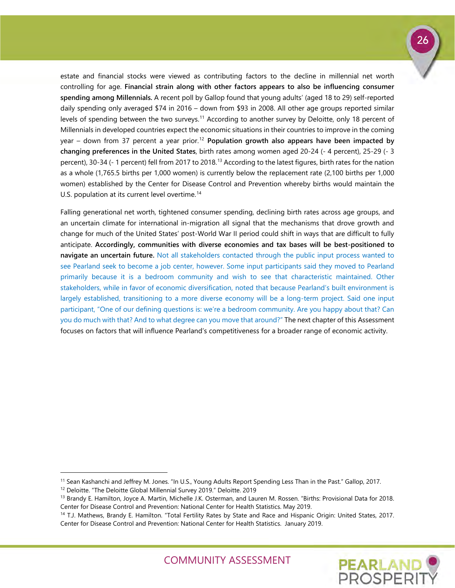estate and financial stocks were viewed as contributing factors to the decline in millennial net worth controlling for age. **Financial strain along with other factors appears to also be influencing consumer spending among Millennials.** A recent poll by Gallop found that young adults' (aged 18 to 29) self-reported daily spending only averaged \$74 in 2016 – down from \$93 in 2008. All other age groups reported similar levels of spending between the two surveys.<sup>[11](#page-27-0)</sup> According to another survey by Deloitte, only 18 percent of Millennials in developed countries expect the economic situations in their countries to improve in the coming year – down from 37 percent a year prior.<sup>[12](#page-27-1)</sup> Population growth also appears have been impacted by **changing preferences in the United States**, birth rates among women aged 20-24 (- 4 percent), 25-29 (- 3 percent), 30-34 (- 1 percent) fell from 2017 to 2018.<sup>[13](#page-27-2)</sup> According to the latest figures, birth rates for the nation as a whole (1,765.5 births per 1,000 women) is currently below the replacement rate (2,100 births per 1,000 women) established by the Center for Disease Control and Prevention whereby births would maintain the U.S. population at its current level overtime.<sup>[14](#page-27-3)</sup>

Falling generational net worth, tightened consumer spending, declining birth rates across age groups, and an uncertain climate for international in-migration all signal that the mechanisms that drove growth and change for much of the United States' post-World War II period could shift in ways that are difficult to fully anticipate. **Accordingly, communities with diverse economies and tax bases will be best-positioned to navigate an uncertain future.** Not all stakeholders contacted through the public input process wanted to see Pearland seek to become a job center, however. Some input participants said they moved to Pearland primarily because it is a bedroom community and wish to see that characteristic maintained. Other stakeholders, while in favor of economic diversification, noted that because Pearland's built environment is largely established, transitioning to a more diverse economy will be a long-term project. Said one input participant, "One of our defining questions is: we're a bedroom community. Are you happy about that? Can you do much with that? And to what degree can you move that around?" The next chapter of this Assessment focuses on factors that will influence Pearland's competitiveness for a broader range of economic activity.

-

<span id="page-27-3"></span><sup>14</sup> T.J. Mathews, Brandy E. Hamilton. "Total Fertility Rates by State and Race and Hispanic Origin: United States, 2017. Center for Disease Control and Prevention: National Center for Health Statistics. January 2019.



<span id="page-27-0"></span><sup>&</sup>lt;sup>11</sup> Sean Kashanchi and Jeffrey M. Jones. "In U.S., Young Adults Report Spending Less Than in the Past." Gallop, 2017.<br><sup>12</sup> Deloitte. "The Deloitte Global Millennial Survey 2019." Deloitte. 2019

<span id="page-27-2"></span><span id="page-27-1"></span><sup>&</sup>lt;sup>13</sup> Brandy E. Hamilton, Joyce A. Martin, Michelle J.K. Osterman, and Lauren M. Rossen. "Births: Provisional Data for 2018. Center for Disease Control and Prevention: National Center for Health Statistics. May 2019.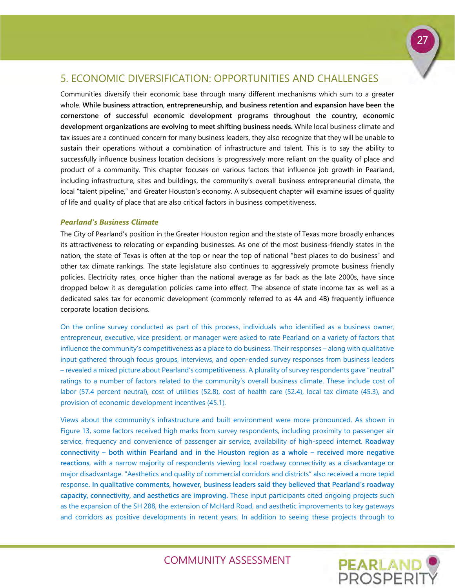### <span id="page-28-0"></span>5. ECONOMIC DIVERSIFICATION: OPPORTUNITIES AND CHALLENGES

Communities diversify their economic base through many different mechanisms which sum to a greater whole. **While business attraction, entrepreneurship, and business retention and expansion have been the cornerstone of successful economic development programs throughout the country, economic development organizations are evolving to meet shifting business needs.** While local business climate and tax issues are a continued concern for many business leaders, they also recognize that they will be unable to sustain their operations without a combination of infrastructure and talent. This is to say the ability to successfully influence business location decisions is progressively more reliant on the quality of place and product of a community. This chapter focuses on various factors that influence job growth in Pearland, including infrastructure, sites and buildings, the community's overall business entrepreneurial climate, the local "talent pipeline," and Greater Houston's economy. A subsequent chapter will examine issues of quality of life and quality of place that are also critical factors in business competitiveness.

#### *Pearland's Business Climate*

The City of Pearland's position in the Greater Houston region and the state of Texas more broadly enhances its attractiveness to relocating or expanding businesses. As one of the most business-friendly states in the nation, the state of Texas is often at the top or near the top of national "best places to do business" and other tax climate rankings. The state legislature also continues to aggressively promote business friendly policies. Electricity rates, once higher than the national average as far back as the late 2000s, have since dropped below it as deregulation policies came into effect. The absence of state income tax as well as a dedicated sales tax for economic development (commonly referred to as 4A and 4B) frequently influence corporate location decisions.

On the online survey conducted as part of this process, individuals who identified as a business owner, entrepreneur, executive, vice president, or manager were asked to rate Pearland on a variety of factors that influence the community's competitiveness as a place to do business. Their responses – along with qualitative input gathered through focus groups, interviews, and open-ended survey responses from business leaders – revealed a mixed picture about Pearland's competitiveness. A plurality of survey respondents gave "neutral" ratings to a number of factors related to the community's overall business climate. These include cost of labor (57.4 percent neutral), cost of utilities (52.8), cost of health care (52.4), local tax climate (45.3), and provision of economic development incentives (45.1).

Views about the community's infrastructure and built environment were more pronounced. As shown in Figure 13, some factors received high marks from survey respondents, including proximity to passenger air service, frequency and convenience of passenger air service, availability of high-speed internet. **Roadway connectivity – both within Pearland and in the Houston region as a whole – received more negative reactions**, with a narrow majority of respondents viewing local roadway connectivity as a disadvantage or major disadvantage. "Aesthetics and quality of commercial corridors and districts" also received a more tepid response**. In qualitative comments, however, business leaders said they believed that Pearland's roadway capacity, connectivity, and aesthetics are improving.** These input participants cited ongoing projects such as the expansion of the SH 288, the extension of McHard Road, and aesthetic improvements to key gateways and corridors as positive developments in recent years. In addition to seeing these projects through to

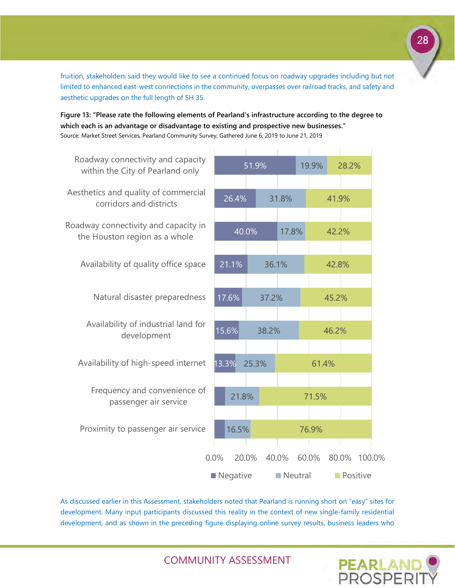fruition, stakeholders said they would like to see a continued focus on roadway upgrades including but not limited to enhanced east-west connections in the community, overpasses over railroad tracks, and safety and aesthetic upgrades on the full length of SH 35.

**Figure 13: "Please rate the following elements of Pearland's infrastructure according to the degree to which each is an advantage or disadvantage to existing and prospective new businesses."**  Source: Market Street Services, Pearland Community Survey, Gathered June 6, 2019 to June 21, 2019



As discussed earlier in this Assessment, stakeholders noted that Pearland is running short on "easy" sites for development. Many input participants discussed this reality in the context of new single-family residential development, and as shown in the preceding figure displaying online survey results, business leaders who

COMMUNITY ASSESSMENT

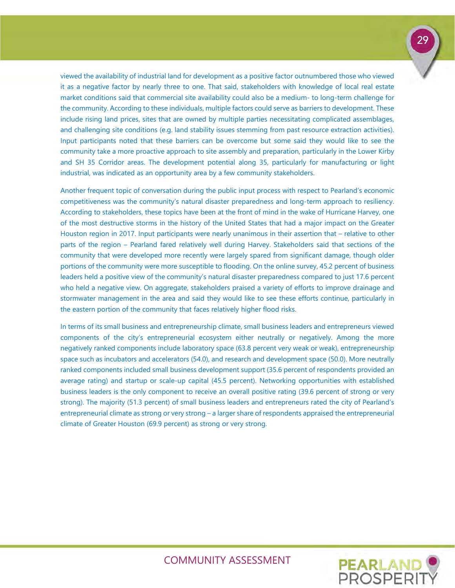viewed the availability of industrial land for development as a positive factor outnumbered those who viewed it as a negative factor by nearly three to one. That said, stakeholders with knowledge of local real estate market conditions said that commercial site availability could also be a medium- to long-term challenge for the community. According to these individuals, multiple factors could serve as barriers to development. These include rising land prices, sites that are owned by multiple parties necessitating complicated assemblages, and challenging site conditions (e.g. land stability issues stemming from past resource extraction activities). Input participants noted that these barriers can be overcome but some said they would like to see the community take a more proactive approach to site assembly and preparation, particularly in the Lower Kirby and SH 35 Corridor areas. The development potential along 35, particularly for manufacturing or light industrial, was indicated as an opportunity area by a few community stakeholders.

Another frequent topic of conversation during the public input process with respect to Pearland's economic competitiveness was the community's natural disaster preparedness and long-term approach to resiliency. According to stakeholders, these topics have been at the front of mind in the wake of Hurricane Harvey, one of the most destructive storms in the history of the United States that had a major impact on the Greater Houston region in 2017. Input participants were nearly unanimous in their assertion that – relative to other parts of the region – Pearland fared relatively well during Harvey. Stakeholders said that sections of the community that were developed more recently were largely spared from significant damage, though older portions of the community were more susceptible to flooding. On the online survey, 45.2 percent of business leaders held a positive view of the community's natural disaster preparedness compared to just 17.6 percent who held a negative view. On aggregate, stakeholders praised a variety of efforts to improve drainage and stormwater management in the area and said they would like to see these efforts continue, particularly in the eastern portion of the community that faces relatively higher flood risks.

In terms of its small business and entrepreneurship climate, small business leaders and entrepreneurs viewed components of the city's entrepreneurial ecosystem either neutrally or negatively. Among the more negatively ranked components include laboratory space (63.8 percent very weak or weak), entrepreneurship space such as incubators and accelerators (54.0), and research and development space (50.0). More neutrally ranked components included small business development support (35.6 percent of respondents provided an average rating) and startup or scale-up capital (45.5 percent). Networking opportunities with established business leaders is the only component to receive an overall positive rating (39.6 percent of strong or very strong). The majority (51.3 percent) of small business leaders and entrepreneurs rated the city of Pearland's entrepreneurial climate as strong or very strong – a larger share of respondents appraised the entrepreneurial climate of Greater Houston (69.9 percent) as strong or very strong.

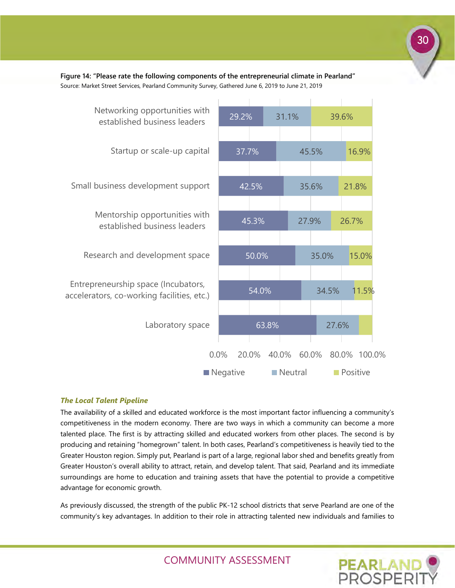63.8% 54.0% 50.0% 45.3% 42.5% 37.7% 29.2% 27.6% 34.5% 35.0% 27.9% 35.6% 45.5% 31.1% 11.5% 15.0% 26.7% 21.8% 16.9% 39.6% 0.0% 20.0% 40.0% 60.0% 80.0% 100.0% Laboratory space Entrepreneurship space (Incubators, accelerators, co-working facilities, etc.) Research and development space Mentorship opportunities with established business leaders Small business development support Startup or scale-up capital Networking opportunities with established business leaders Negative **Neutral** Positive

**Figure 14: "Please rate the following components of the entrepreneurial climate in Pearland"**  Source: Market Street Services, Pearland Community Survey, Gathered June 6, 2019 to June 21, 2019

#### *The Local Talent Pipeline*

The availability of a skilled and educated workforce is the most important factor influencing a community's competitiveness in the modern economy. There are two ways in which a community can become a more talented place. The first is by attracting skilled and educated workers from other places. The second is by producing and retaining "homegrown" talent. In both cases, Pearland's competitiveness is heavily tied to the Greater Houston region. Simply put, Pearland is part of a large, regional labor shed and benefits greatly from Greater Houston's overall ability to attract, retain, and develop talent. That said, Pearland and its immediate surroundings are home to education and training assets that have the potential to provide a competitive advantage for economic growth.

As previously discussed, the strength of the public PK-12 school districts that serve Pearland are one of the community's key advantages. In addition to their role in attracting talented new individuals and families to

COMMUNITY ASSESSMENT

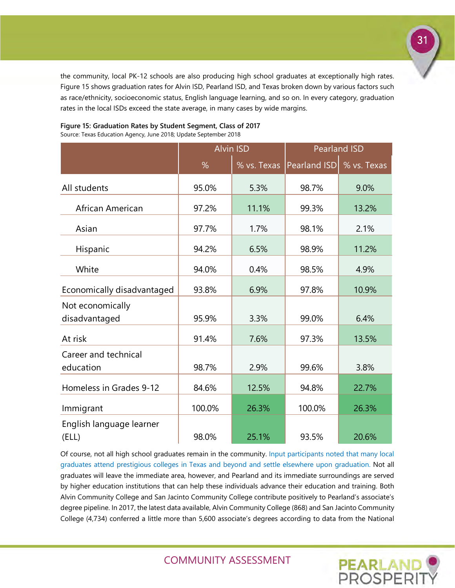the community, local PK-12 schools are also producing high school graduates at exceptionally high rates. Figure 15 shows graduation rates for Alvin ISD, Pearland ISD, and Texas broken down by various factors such as race/ethnicity, socioeconomic status, English language learning, and so on. In every category, graduation rates in the local ISDs exceed the state average, in many cases by wide margins.

|                            |       | <b>Alvin ISD</b> |                        | <b>Pearland ISD</b> |
|----------------------------|-------|------------------|------------------------|---------------------|
|                            | %     | $%$ vs. Texas    | Pearland ISD % vs. Tex |                     |
| All students               | 95.0% | 5.3%             | 98.7%                  | 9.0%                |
| African American           | 97.2% | 11.1%            | 99.3%                  | 13.2%               |
| Asian                      | 97.7% | 1.7%             | 98.1%                  | 2.1%                |
| Hispanic                   | 94.2% | 6.5%             | 98.9%                  | 11.2%               |
| White                      | 94.0% | 0.4%             | 98.5%                  | 4.9%                |
| Economically disadvantaged | 93.8% | 6.9%             | 97.8%                  | 10.9%               |
| Not economically           |       |                  |                        |                     |

disadvantaged 95.9% 3.3% 99.0% 6.4%

At risk 91.4% 7.6% 97.3% 13.5%

education 198.7% 2.9% 99.6% 3.8%

Homeless in Grades 9-12 84.6% 12.5% 94.8% 22.7%

Immigrant 100.0% 26.3% 100.0% 26.3%

(ELL) 98.0% 25.1% 93.5% 20.6%

# **Figure 15: Graduation Rates by Student Segment, Class of 2017**

Source: Texas Education Agency, June 2018; Update September 2018

Career and technical

English language learner

Of course, not all high school graduates remain in the community. Input participants noted that many local graduates attend prestigious colleges in Texas and beyond and settle elsewhere upon graduation. Not all graduates will leave the immediate area, however, and Pearland and its immediate surroundings are served by higher education institutions that can help these individuals advance their education and training. Both Alvin Community College and San Jacinto Community College contribute positively to Pearland's associate's degree pipeline. In 2017, the latest data available, Alvin Community College (868) and San Jacinto Community College (4,734) conferred a little more than 5,600 associate's degrees according to data from the National

COMMUNITY ASSESSMENT



% vs. Texas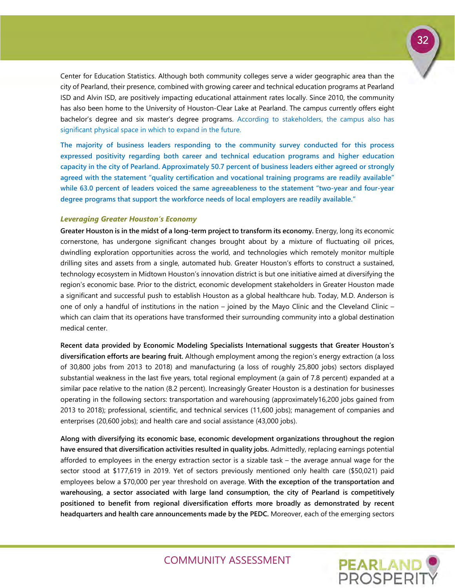32

Center for Education Statistics. Although both community colleges serve a wider geographic area than the city of Pearland, their presence, combined with growing career and technical education programs at Pearland ISD and Alvin ISD, are positively impacting educational attainment rates locally. Since 2010, the community has also been home to the University of Houston-Clear Lake at Pearland. The campus currently offers eight bachelor's degree and six master's degree programs. According to stakeholders, the campus also has significant physical space in which to expand in the future.

**The majority of business leaders responding to the community survey conducted for this process expressed positivity regarding both career and technical education programs and higher education capacity in the city of Pearland. Approximately 50.7 percent of business leaders either agreed or strongly agreed with the statement "quality certification and vocational training programs are readily available" while 63.0 percent of leaders voiced the same agreeableness to the statement "two-year and four-year degree programs that support the workforce needs of local employers are readily available."** 

#### *Leveraging Greater Houston's Economy*

**Greater Houston is in the midst of a long-term project to transform its economy.** Energy, long its economic cornerstone, has undergone significant changes brought about by a mixture of fluctuating oil prices, dwindling exploration opportunities across the world, and technologies which remotely monitor multiple drilling sites and assets from a single, automated hub. Greater Houston's efforts to construct a sustained, technology ecosystem in Midtown Houston's innovation district is but one initiative aimed at diversifying the region's economic base. Prior to the district, economic development stakeholders in Greater Houston made a significant and successful push to establish Houston as a global healthcare hub. Today, M.D. Anderson is one of only a handful of institutions in the nation – joined by the Mayo Clinic and the Cleveland Clinic – which can claim that its operations have transformed their surrounding community into a global destination medical center.

**Recent data provided by Economic Modeling Specialists International suggests that Greater Houston's diversification efforts are bearing fruit.** Although employment among the region's energy extraction (a loss of 30,800 jobs from 2013 to 2018) and manufacturing (a loss of roughly 25,800 jobs) sectors displayed substantial weakness in the last five years, total regional employment (a gain of 7.8 percent) expanded at a similar pace relative to the nation (8.2 percent). Increasingly Greater Houston is a destination for businesses operating in the following sectors: transportation and warehousing (approximately16,200 jobs gained from 2013 to 2018); professional, scientific, and technical services (11,600 jobs); management of companies and enterprises (20,600 jobs); and health care and social assistance (43,000 jobs).

**Along with diversifying its economic base, economic development organizations throughout the region have ensured that diversification activities resulted in quality jobs.** Admittedly, replacing earnings potential afforded to employees in the energy extraction sector is a sizable task – the average annual wage for the sector stood at \$177,619 in 2019. Yet of sectors previously mentioned only health care (\$50,021) paid employees below a \$70,000 per year threshold on average. **With the exception of the transportation and warehousing, a sector associated with large land consumption, the city of Pearland is competitively positioned to benefit from regional diversification efforts more broadly as demonstrated by recent headquarters and health care announcements made by the PEDC.** Moreover, each of the emerging sectors

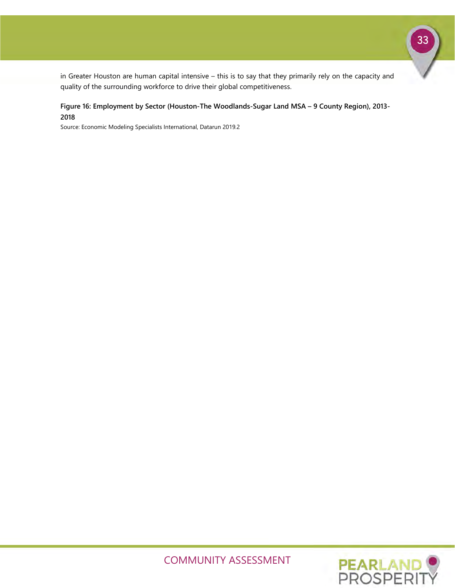33

in Greater Houston are human capital intensive – this is to say that they primarily rely on the capacity and quality of the surrounding workforce to drive their global competitiveness.

#### **Figure 16: Employment by Sector (Houston-The Woodlands-Sugar Land MSA – 9 County Region), 2013- 2018**

Source: Economic Modeling Specialists International, Datarun 2019.2



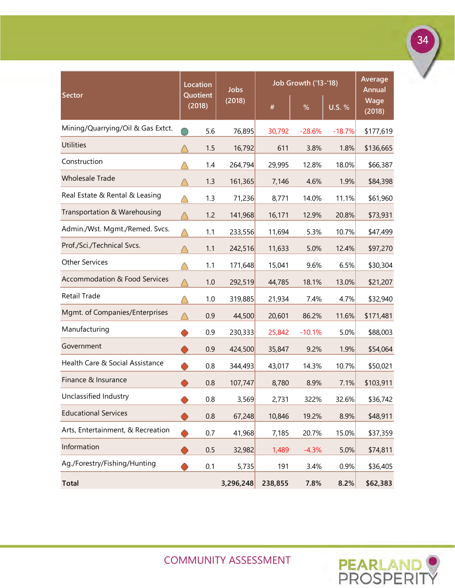|                                          | Location           | <b>Jobs</b>    | <b>Job Growth ('13-'18)</b> | Average<br><b>Annual</b> |               |                |
|------------------------------------------|--------------------|----------------|-----------------------------|--------------------------|---------------|----------------|
| Sector                                   | Quotient<br>(2018) | (2018)         | $\#$                        | %                        | <b>U.S. %</b> | Wage<br>(2018) |
| Mining/Quarrying/Oil & Gas Extct.        | 5.6                | 76,895         | 30,792                      | $-28.6%$                 | $-18.7%$      | \$177,619      |
| <b>Utilities</b>                         |                    | 1.5<br>16,792  | 611                         | 3.8%                     | 1.8%          | \$136,665      |
| Construction                             |                    | 1.4<br>264,794 | 29,995                      | 12.8%                    | 18.0%         | \$66,387       |
| <b>Wholesale Trade</b>                   |                    | 1.3<br>161,365 | 7,146                       | 4.6%                     | 1.9%          | \$84,398       |
| Real Estate & Rental & Leasing           |                    | 1.3<br>71,236  | 8,771                       | 14.0%                    | 11.1%         | \$61,960       |
| Transportation & Warehousing             |                    | 1.2<br>141,968 | 16,171                      | 12.9%                    | 20.8%         | \$73,931       |
| Admin./Wst. Mgmt./Remed. Svcs.           | 1.1                | 233,556        | 11,694                      | 5.3%                     | 10.7%         | \$47,499       |
| Prof./Sci./Technical Svcs.               | 1.1                | 242,516        | 11,633                      | 5.0%                     | 12.4%         | \$97,270       |
| <b>Other Services</b>                    | 1.1                | 171,648        | 15,041                      | 9.6%                     | 6.5%          | \$30,304       |
| <b>Accommodation &amp; Food Services</b> |                    | 1.0<br>292,519 | 44,785                      | 18.1%                    | 13.0%         | \$21,207       |
| Retail Trade                             |                    | 1.0<br>319,885 | 21,934                      | 7.4%                     | 4.7%          | \$32,940       |
| Mgmt. of Companies/Enterprises           | 0.9                | 44,500         | 20,601                      | 86.2%                    | 11.6%         | \$171,481      |
| Manufacturing                            | 0.9                | 230,333        | 25,842                      | $-10.1%$                 | 5.0%          | \$88,003       |
| Government                               | 0.9                | 424,500        | 35,847                      | 9.2%                     | 1.9%          | \$54,064       |
| Health Care & Social Assistance          | 0.8                | 344,493        | 43,017                      | 14.3%                    | 10.7%         | \$50,021       |
| Finance & Insurance                      | 0.8                | 107,747        | 8,780                       | 8.9%                     | 7.1%          | \$103,911      |
| Unclassified Industry                    | 0.8                | 3,569          | 2,731                       | 322%                     | 32.6%         | \$36,742       |
| <b>Educational Services</b>              |                    | 0.8<br>67,248  | 10,846                      | 19.2%                    | 8.9%          | \$48,911       |
| Arts, Entertainment, & Recreation        | 0.7                | 41,968         | 7,185                       | 20.7%                    | 15.0%         | \$37,359       |
| Information                              | 0.5                | 32,982         | 1,489                       | $-4.3%$                  | 5.0%          | \$74,811       |
| Ag./Forestry/Fishing/Hunting             | 0.1                | 5,735          | 191                         | 3.4%                     | 0.9%          | \$36,405       |
| <b>Total</b>                             |                    | 3,296,248      | 238,855                     | 7.8%                     | 8.2%          | \$62,383       |

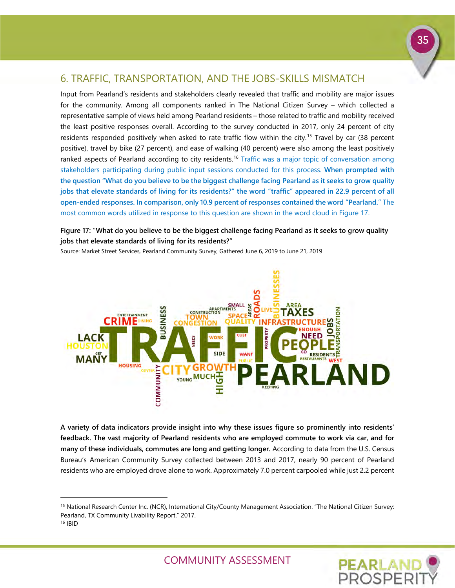### <span id="page-36-0"></span>6. TRAFFIC, TRANSPORTATION, AND THE JOBS-SKILLS MISMATCH

Input from Pearland's residents and stakeholders clearly revealed that traffic and mobility are major issues for the community. Among all components ranked in The National Citizen Survey – which collected a representative sample of views held among Pearland residents – those related to traffic and mobility received the least positive responses overall. According to the survey conducted in 2017, only 24 percent of city residents responded positively when asked to rate traffic flow within the city.<sup>[15](#page-36-1)</sup> Travel by car (38 percent positive), travel by bike (27 percent), and ease of walking (40 percent) were also among the least positively ranked aspects of Pearland according to city residents.<sup>[16](#page-36-2)</sup> Traffic was a major topic of conversation among stakeholders participating during public input sessions conducted for this process. **When prompted with the question "What do you believe to be the biggest challenge facing Pearland as it seeks to grow quality jobs that elevate standards of living for its residents?" the word "traffic" appeared in 22.9 percent of all open-ended responses. In comparison, only 10.9 percent of responses contained the word "Pearland."** The most common words utilized in response to this question are shown in the word cloud in Figure 17.

**Figure 17: "What do you believe to be the biggest challenge facing Pearland as it seeks to grow quality jobs that elevate standards of living for its residents?"**

Source: Market Street Services, Pearland Community Survey, Gathered June 6, 2019 to June 21, 2019



**A variety of data indicators provide insight into why these issues figure so prominently into residents' feedback. The vast majority of Pearland residents who are employed commute to work via car, and for many of these individuals, commutes are long and getting longer.** According to data from the U.S. Census Bureau's American Community Survey collected between 2013 and 2017, nearly 90 percent of Pearland residents who are employed drove alone to work. Approximately 7.0 percent carpooled while just 2.2 percent

-



<span id="page-36-1"></span><sup>15</sup> National Research Center Inc. (NCR), International City/County Management Association. "The National Citizen Survey: Pearland, TX Community Livability Report." 2017.

<span id="page-36-2"></span><sup>16</sup> IBID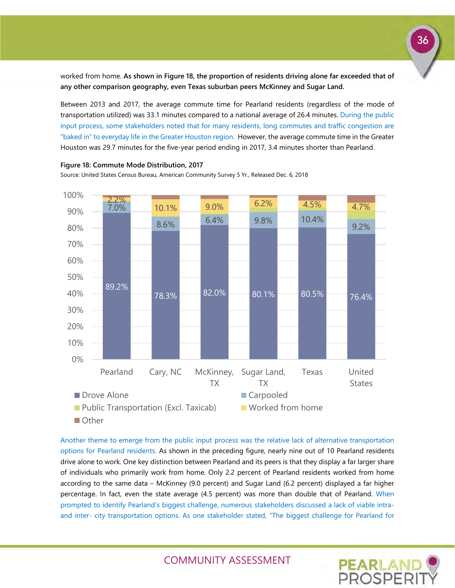worked from home. **As shown in Figure 18, the proportion of residents driving alone far exceeded that of any other comparison geography, even Texas suburban peers McKinney and Sugar Land.**

Between 2013 and 2017, the average commute time for Pearland residents (regardless of the mode of transportation utilized) was 33.1 minutes compared to a national average of 26.4 minutes. During the public input process, some stakeholders noted that for many residents, long commutes and traffic congestion are "baked in" to everyday life in the Greater Houston region. However, the average commute time in the Greater Houston was 29.7 minutes for the five-year period ending in 2017, 3.4 minutes shorter than Pearland.



**Figure 18: Commute Mode Distribution, 2017**

Source: United States Census Bureau, American Community Survey 5 Yr., Released Dec. 6, 2018

Another theme to emerge from the public input process was the relative lack of alternative transportation options for Pearland residents. As shown in the preceding figure, nearly nine out of 10 Pearland residents drive alone to work. One key distinction between Pearland and its peers is that they display a far larger share of individuals who primarily work from home. Only 2.2 percent of Pearland residents worked from home according to the same data – McKinney (9.0 percent) and Sugar Land (6.2 percent) displayed a far higher percentage. In fact, even the state average (4.5 percent) was more than double that of Pearland. When prompted to identify Pearland's biggest challenge, numerous stakeholders discussed a lack of viable intraand inter- city transportation options. As one stakeholder stated, "The biggest challenge for Pearland for

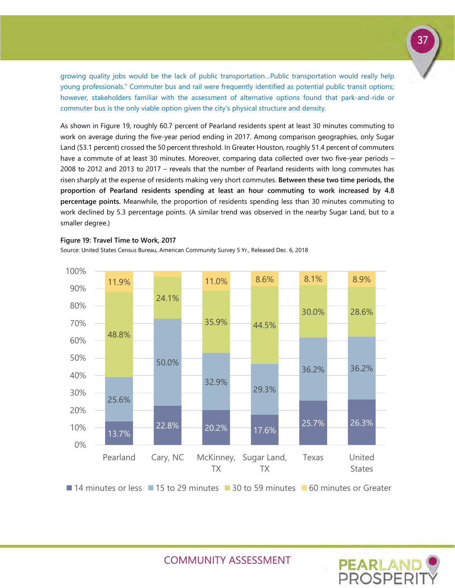growing quality jobs would be the lack of public transportation…Public transportation would really help young professionals." Commuter bus and rail were frequently identified as potential public transit options; however, stakeholders familiar with the assessment of alternative options found that park-and-ride or commuter bus is the only viable option given the city's physical structure and density.

As shown in Figure 19, roughly 60.7 percent of Pearland residents spent at least 30 minutes commuting to work on average during the five-year period ending in 2017. Among comparison geographies, only Sugar Land (53.1 percent) crossed the 50 percent threshold. In Greater Houston, roughly 51.4 percent of commuters have a commute of at least 30 minutes. Moreover, comparing data collected over two five-year periods -2008 to 2012 and 2013 to 2017 – reveals that the number of Pearland residents with long commutes has risen sharply at the expense of residents making very short commutes. **Between these two time periods, the proportion of Pearland residents spending at least an hour commuting to work increased by 4.8 percentage points.** Meanwhile, the proportion of residents spending less than 30 minutes commuting to work declined by 5.3 percentage points. (A similar trend was observed in the nearby Sugar Land, but to a smaller degree.)



**Figure 19: Travel Time to Work, 2017**

Source: United States Census Bureau, American Community Survey 5 Yr., Released Dec. 6, 2018

COMMUNITY ASSESSMENT

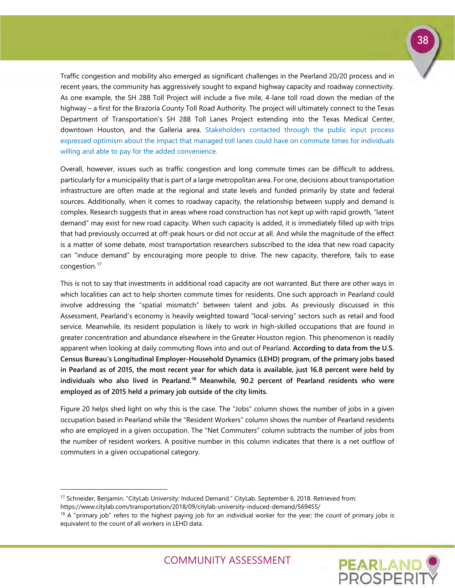

**PEARLAND** 

Traffic congestion and mobility also emerged as significant challenges in the Pearland 20/20 process and in recent years, the community has aggressively sought to expand highway capacity and roadway connectivity. As one example, the SH 288 Toll Project will include a five mile, 4-lane toll road down the median of the highway – a first for the Brazoria County Toll Road Authority. The project will ultimately connect to the Texas Department of Transportation's SH 288 Toll Lanes Project extending into the Texas Medical Center, downtown Houston, and the Galleria area. Stakeholders contacted through the public input process expressed optimism about the impact that managed toll lanes could have on commute times for individuals willing and able to pay for the added convenience.

Overall, however, issues such as traffic congestion and long commute times can be difficult to address, particularly for a municipality that is part of a large metropolitan area. For one, decisions about transportation infrastructure are often made at the regional and state levels and funded primarily by state and federal sources. Additionally, when it comes to roadway capacity, the relationship between supply and demand is complex. Research suggests that in areas where road construction has not kept up with rapid growth, "latent demand" may exist for new road capacity. When such capacity is added, it is immediately filled up with trips that had previously occurred at off-peak hours or did not occur at all. And while the magnitude of the effect is a matter of some debate, most transportation researchers subscribed to the idea that new road capacity can "induce demand" by encouraging more people to drive. The new capacity, therefore, fails to ease congestion.<sup>[17](#page-39-0)</sup>

This is not to say that investments in additional road capacity are not warranted. But there are other ways in which localities can act to help shorten commute times for residents. One such approach in Pearland could involve addressing the "spatial mismatch" between talent and jobs. As previously discussed in this Assessment, Pearland's economy is heavily weighted toward "local-serving" sectors such as retail and food service. Meanwhile, its resident population is likely to work in high-skilled occupations that are found in greater concentration and abundance elsewhere in the Greater Houston region. This phenomenon is readily apparent when looking at daily commuting flows into and out of Pearland. **According to data from the U.S. Census Bureau's Longitudinal Employer-Household Dynamics (LEHD) program, of the primary jobs based in Pearland as of 2015, the most recent year for which data is available, just 16.8 percent were held by individuals who also lived in Pearland.[18](#page-39-1) Meanwhile, 90.2 percent of Pearland residents who were employed as of 2015 held a primary job outside of the city limits.**

Figure 20 helps shed light on why this is the case. The "Jobs" column shows the number of jobs in a given occupation based in Pearland while the "Resident Workers" column shows the number of Pearland residents who are employed in a given occupation. The "Net Commuters" column subtracts the number of jobs from the number of resident workers. A positive number in this column indicates that there is a net outflow of commuters in a given occupational category.

-

<span id="page-39-0"></span><sup>&</sup>lt;sup>17</sup> Schneider, Benjamin. "CityLab University: Induced Demand." CityLab. September 6, 2018. Retrieved from: https://www.citylab.com/transportation/2018/09/citylab-university-induced-demand/569455/

<span id="page-39-1"></span> $18$  A "primary job" refers to the highest paying job for an individual worker for the year; the count of primary jobs is equivalent to the count of all workers in LEHD data.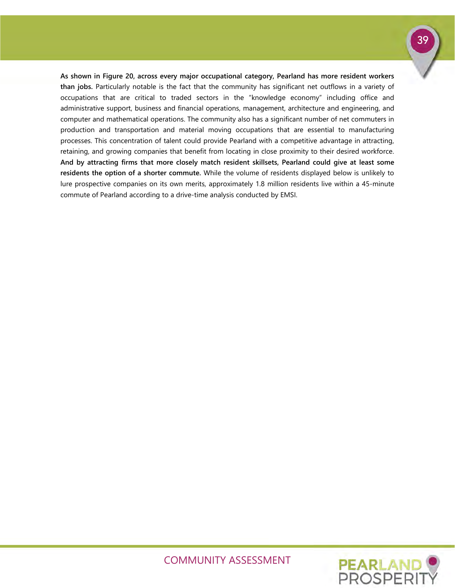**As shown in Figure 20, across every major occupational category, Pearland has more resident workers than jobs.** Particularly notable is the fact that the community has significant net outflows in a variety of occupations that are critical to traded sectors in the "knowledge economy" including office and administrative support, business and financial operations, management, architecture and engineering, and computer and mathematical operations. The community also has a significant number of net commuters in production and transportation and material moving occupations that are essential to manufacturing processes. This concentration of talent could provide Pearland with a competitive advantage in attracting, retaining, and growing companies that benefit from locating in close proximity to their desired workforce. **And by attracting firms that more closely match resident skillsets, Pearland could give at least some residents the option of a shorter commute.** While the volume of residents displayed below is unlikely to lure prospective companies on its own merits, approximately 1.8 million residents live within a 45-minute commute of Pearland according to a drive-time analysis conducted by EMSI.

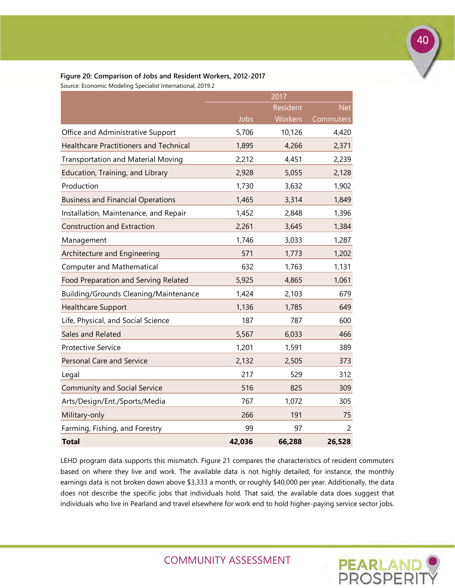|                                               |        | 2017            |            |
|-----------------------------------------------|--------|-----------------|------------|
|                                               |        | <b>Resident</b> | <b>Net</b> |
|                                               | Jobs   | Workers         | Commuters  |
| Office and Administrative Support             | 5,706  | 10,126          | 4,420      |
| <b>Healthcare Practitioners and Technical</b> | 1,895  | 4,266           | 2,371      |
| <b>Transportation and Material Moving</b>     | 2,212  | 4,451           | 2,239      |
| Education, Training, and Library              | 2,928  | 5,055           | 2,128      |
| Production                                    | 1,730  | 3,632           | 1,902      |
| <b>Business and Financial Operations</b>      | 1,465  | 3,314           | 1,849      |
| Installation, Maintenance, and Repair         | 1,452  | 2,848           | 1,396      |
| <b>Construction and Extraction</b>            | 2,261  | 3,645           | 1,384      |
| Management                                    | 1,746  | 3,033           | 1,287      |
| Architecture and Engineering                  | 571    | 1,773           | 1,202      |
| <b>Computer and Mathematical</b>              | 632    | 1,763           | 1,131      |
| Food Preparation and Serving Related          | 5,925  | 4,865           | 1,061      |
| <b>Building/Grounds Cleaning/Maintenance</b>  | 1,424  | 2,103           | 679        |
| <b>Healthcare Support</b>                     | 1,136  | 1,785           | 649        |
| Life, Physical, and Social Science            | 187    | 787             | 600        |
| Sales and Related                             | 5,567  | 6,033           | 466        |
| <b>Protective Service</b>                     | 1,201  | 1,591           | 389        |
| <b>Personal Care and Service</b>              | 2,132  | 2,505           | 373        |
| Legal                                         | 217    | 529             | 312        |
| <b>Community and Social Service</b>           | 516    | 825             | 309        |
| Arts/Design/Ent./Sports/Media                 | 767    | 1,072           | 305        |
| Military-only                                 | 266    | 191             | 75         |
| Farming, Fishing, and Forestry                | 99     | 97              | 2          |
| <b>Total</b>                                  | 42,036 | 66,288          | 26,528     |

#### **Figure 20: Comparison of Jobs and Resident Workers, 2012-2017**

Source: Economic Modeling Specialist International, 2019.2

LEHD program data supports this mismatch. Figure 21 compares the characteristics of resident commuters based on where they live and work. The available data is not highly detailed; for instance, the monthly earnings data is not broken down above \$3,333 a month, or roughly \$40,000 per year. Additionally, the data does not describe the specific jobs that individuals hold. That said, the available data does suggest that individuals who live in Pearland and travel elsewhere for work end to hold higher-paying service sector jobs.

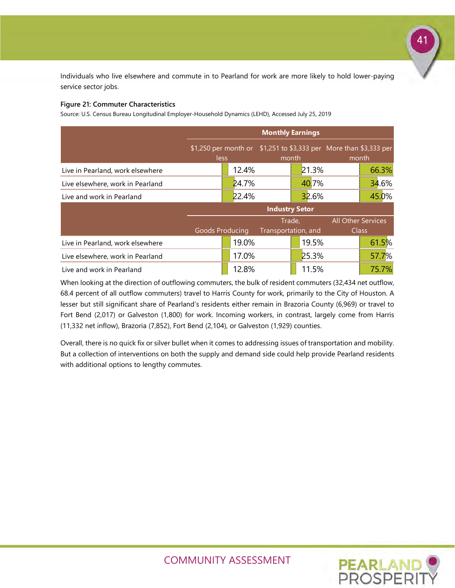Individuals who live elsewhere and commute in to Pearland for work are more likely to hold lower-paying service sector jobs.

#### **Figure 21: Commuter Characteristics**

Source: U.S. Census Bureau Longitudinal Employer-Household Dynamics (LEHD), Accessed July 25, 2019

|                                  | <b>Monthly Earnings</b> |       |                                                                   |       |  |                           |  |
|----------------------------------|-------------------------|-------|-------------------------------------------------------------------|-------|--|---------------------------|--|
|                                  |                         |       | \$1,250 per month or \$1,251 to \$3,333 per More than \$3,333 per |       |  |                           |  |
|                                  | less                    |       | month                                                             |       |  | month                     |  |
| Live in Pearland, work elsewhere |                         | 12.4% |                                                                   | 21.3% |  | 66.3%                     |  |
| Live elsewhere, work in Pearland |                         | 24.7% |                                                                   | 40.7% |  | 34.6%                     |  |
| Live and work in Pearland        |                         | 22.4% |                                                                   | 32.6% |  | 45.0%                     |  |
|                                  |                         |       | <b>Industry Setor</b>                                             |       |  |                           |  |
|                                  |                         |       | Trade,                                                            |       |  | <b>All Other Services</b> |  |
|                                  | <b>Goods Producing</b>  |       | Transportation, and                                               |       |  | <b>Class</b>              |  |
| Live in Pearland, work elsewhere |                         | 19.0% |                                                                   | 19.5% |  | 61.5%                     |  |
| Live elsewhere, work in Pearland |                         | 17.0% |                                                                   | 25.3% |  | 57.7%                     |  |
| Live and work in Pearland        |                         | 12.8% |                                                                   | 11.5% |  | 75.7%                     |  |

When looking at the direction of outflowing commuters, the bulk of resident commuters (32,434 net outflow, 68.4 percent of all outflow commuters) travel to Harris County for work, primarily to the City of Houston. A lesser but still significant share of Pearland's residents either remain in Brazoria County (6,969) or travel to Fort Bend (2,017) or Galveston (1,800) for work. Incoming workers, in contrast, largely come from Harris (11,332 net inflow), Brazoria (7,852), Fort Bend (2,104), or Galveston (1,929) counties.

Overall, there is no quick fix or silver bullet when it comes to addressing issues of transportation and mobility. But a collection of interventions on both the supply and demand side could help provide Pearland residents with additional options to lengthy commutes.



41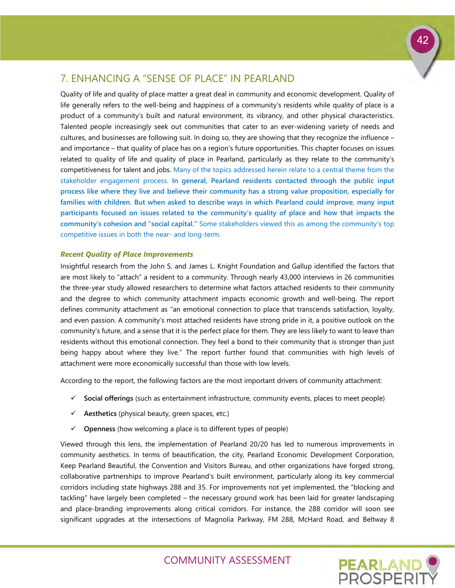## <span id="page-43-0"></span>7. ENHANCING A "SENSE OF PLACE" IN PEARLAND

Quality of life and quality of place matter a great deal in community and economic development. Quality of life generally refers to the well-being and happiness of a community's residents while quality of place is a product of a community's built and natural environment, its vibrancy, and other physical characteristics. Talented people increasingly seek out communities that cater to an ever-widening variety of needs and cultures, and businesses are following suit. In doing so, they are showing that they recognize the influence – and importance – that quality of place has on a region's future opportunities. This chapter focuses on issues related to quality of life and quality of place in Pearland, particularly as they relate to the community's competitiveness for talent and jobs. Many of the topics addressed herein relate to a central theme from the stakeholder engagement process. **In general, Pearland residents contacted through the public input process like where they live and believe their community has a strong value proposition, especially for families with children. But when asked to describe ways in which Pearland could improve, many input participants focused on issues related to the community's quality of place and how that impacts the community's cohesion and "social capital."** Some stakeholders viewed this as among the community's top competitive issues in both the near- and long-term.

#### *Recent Quality of Place Improvements*

Insightful research from the John S. and James L. Knight Foundation and Gallup identified the factors that are most likely to "attach" a resident to a community. Through nearly 43,000 interviews in 26 communities the three-year study allowed researchers to determine what factors attached residents to their community and the degree to which community attachment impacts economic growth and well-being. The report defines community attachment as "an emotional connection to place that transcends satisfaction, loyalty, and even passion. A community's most attached residents have strong pride in it, a positive outlook on the community's future, and a sense that it is the perfect place for them. They are less likely to want to leave than residents without this emotional connection. They feel a bond to their community that is stronger than just being happy about where they live." The report further found that communities with high levels of attachment were more economically successful than those with low levels.

According to the report, the following factors are the most important drivers of community attachment:

- **Social offerings** (such as entertainment infrastructure, community events, places to meet people)
- $\checkmark$  Aesthetics (physical beauty, green spaces, etc.)
- **Openness** (how welcoming a place is to different types of people)

Viewed through this lens, the implementation of Pearland 20/20 has led to numerous improvements in community aesthetics. In terms of beautification, the city, Pearland Economic Development Corporation, Keep Pearland Beautiful, the Convention and Visitors Bureau, and other organizations have forged strong, collaborative partnerships to improve Pearland's built environment, particularly along its key commercial corridors including state highways 288 and 35. For improvements not yet implemented, the "blocking and tackling" have largely been completed – the necessary ground work has been laid for greater landscaping and place-branding improvements along critical corridors. For instance, the 288 corridor will soon see significant upgrades at the intersections of Magnolia Parkway, FM 288, McHard Road, and Beltway 8

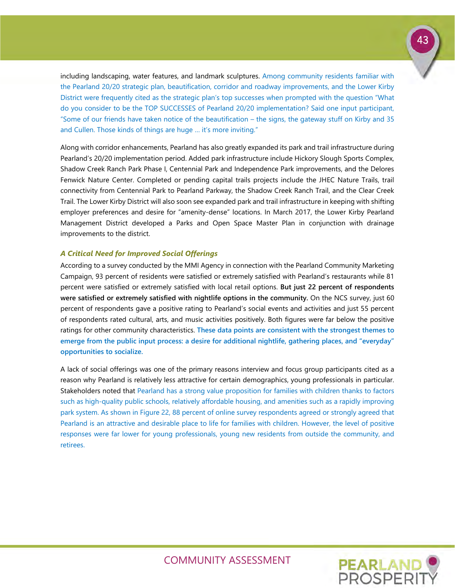

including landscaping, water features, and landmark sculptures. Among community residents familiar with the Pearland 20/20 strategic plan, beautification, corridor and roadway improvements, and the Lower Kirby District were frequently cited as the strategic plan's top successes when prompted with the question "What do you consider to be the TOP SUCCESSES of Pearland 20/20 implementation? Said one input participant, "Some of our friends have taken notice of the beautification – the signs, the gateway stuff on Kirby and 35 and Cullen. Those kinds of things are huge ... it's more inviting."

Along with corridor enhancements, Pearland has also greatly expanded its park and trail infrastructure during Pearland's 20/20 implementation period. Added park infrastructure include Hickory Slough Sports Complex, Shadow Creek Ranch Park Phase I, Centennial Park and Independence Park improvements, and the Delores Fenwick Nature Center. Completed or pending capital trails projects include the JHEC Nature Trails, trail connectivity from Centennial Park to Pearland Parkway, the Shadow Creek Ranch Trail, and the Clear Creek Trail. The Lower Kirby District will also soon see expanded park and trail infrastructure in keeping with shifting employer preferences and desire for "amenity-dense" locations. In March 2017, the Lower Kirby Pearland Management District developed a Parks and Open Space Master Plan in conjunction with drainage improvements to the district.

#### *A Critical Need for Improved Social Offerings*

According to a survey conducted by the MMI Agency in connection with the Pearland Community Marketing Campaign, 93 percent of residents were satisfied or extremely satisfied with Pearland's restaurants while 81 percent were satisfied or extremely satisfied with local retail options. **But just 22 percent of respondents were satisfied or extremely satisfied with nightlife options in the community.** On the NCS survey, just 60 percent of respondents gave a positive rating to Pearland's social events and activities and just 55 percent of respondents rated cultural, arts, and music activities positively. Both figures were far below the positive ratings for other community characteristics. **These data points are consistent with the strongest themes to emerge from the public input process: a desire for additional nightlife, gathering places, and "everyday" opportunities to socialize.** 

A lack of social offerings was one of the primary reasons interview and focus group participants cited as a reason why Pearland is relatively less attractive for certain demographics, young professionals in particular. Stakeholders noted that Pearland has a strong value proposition for families with children thanks to factors such as high-quality public schools, relatively affordable housing, and amenities such as a rapidly improving park system. As shown in Figure 22, 88 percent of online survey respondents agreed or strongly agreed that Pearland is an attractive and desirable place to life for families with children. However, the level of positive responses were far lower for young professionals, young new residents from outside the community, and retirees.

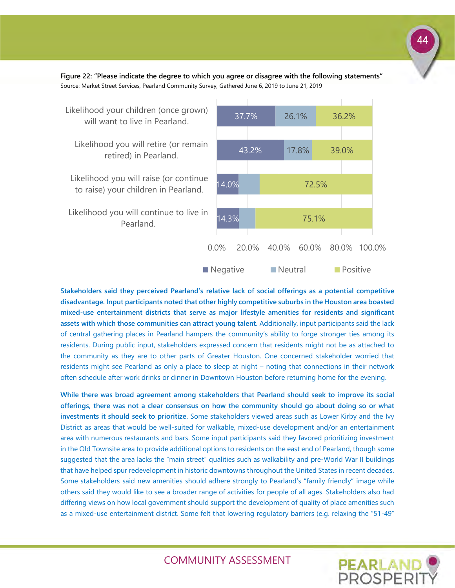**Figure 22: "Please indicate the degree to which you agree or disagree with the following statements"** Source: Market Street Services, Pearland Community Survey, Gathered June 6, 2019 to June 21, 2019



**Stakeholders said they perceived Pearland's relative lack of social offerings as a potential competitive disadvantage. Input participants noted that other highly competitive suburbs in the Houston area boasted mixed-use entertainment districts that serve as major lifestyle amenities for residents and significant assets with which those communities can attract young talent.** Additionally, input participants said the lack of central gathering places in Pearland hampers the community's ability to forge stronger ties among its residents. During public input, stakeholders expressed concern that residents might not be as attached to the community as they are to other parts of Greater Houston. One concerned stakeholder worried that residents might see Pearland as only a place to sleep at night – noting that connections in their network often schedule after work drinks or dinner in Downtown Houston before returning home for the evening.

**While there was broad agreement among stakeholders that Pearland should seek to improve its social offerings, there was not a clear consensus on how the community should go about doing so or what investments it should seek to prioritize.** Some stakeholders viewed areas such as Lower Kirby and the Ivy District as areas that would be well-suited for walkable, mixed-use development and/or an entertainment area with numerous restaurants and bars. Some input participants said they favored prioritizing investment in the Old Townsite area to provide additional options to residents on the east end of Pearland, though some suggested that the area lacks the "main street" qualities such as walkability and pre-World War II buildings that have helped spur redevelopment in historic downtowns throughout the United States in recent decades. Some stakeholders said new amenities should adhere strongly to Pearland's "family friendly" image while others said they would like to see a broader range of activities for people of all ages. Stakeholders also had differing views on how local government should support the development of quality of place amenities such as a mixed-use entertainment district. Some felt that lowering regulatory barriers (e.g. relaxing the "51-49"

COMMUNITY ASSESSMENT

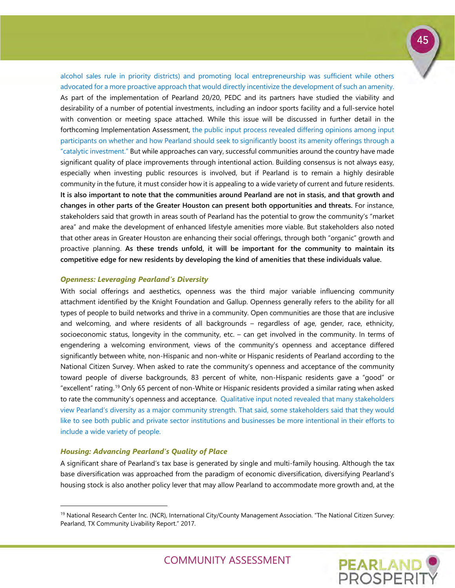alcohol sales rule in priority districts) and promoting local entrepreneurship was sufficient while others advocated for a more proactive approach that would directly incentivize the development of such an amenity. As part of the implementation of Pearland 20/20, PEDC and its partners have studied the viability and desirability of a number of potential investments, including an indoor sports facility and a full-service hotel with convention or meeting space attached. While this issue will be discussed in further detail in the forthcoming Implementation Assessment, the public input process revealed differing opinions among input participants on whether and how Pearland should seek to significantly boost its amenity offerings through a "catalytic investment." But while approaches can vary, successful communities around the country have made significant quality of place improvements through intentional action. Building consensus is not always easy, especially when investing public resources is involved, but if Pearland is to remain a highly desirable community in the future, it must consider how it is appealing to a wide variety of current and future residents. **It is also important to note that the communities around Pearland are not in stasis, and that growth and changes in other parts of the Greater Houston can present both opportunities and threats.** For instance, stakeholders said that growth in areas south of Pearland has the potential to grow the community's "market area" and make the development of enhanced lifestyle amenities more viable. But stakeholders also noted that other areas in Greater Houston are enhancing their social offerings, through both "organic" growth and proactive planning. **As these trends unfold, it will be important for the community to maintain its competitive edge for new residents by developing the kind of amenities that these individuals value.**

#### *Openness: Leveraging Pearland's Diversity*

With social offerings and aesthetics, openness was the third major variable influencing community attachment identified by the Knight Foundation and Gallup. Openness generally refers to the ability for all types of people to build networks and thrive in a community. Open communities are those that are inclusive and welcoming, and where residents of all backgrounds – regardless of age, gender, race, ethnicity, socioeconomic status, longevity in the community, etc. – can get involved in the community. In terms of engendering a welcoming environment, views of the community's openness and acceptance differed significantly between white, non-Hispanic and non-white or Hispanic residents of Pearland according to the National Citizen Survey. When asked to rate the community's openness and acceptance of the community toward people of diverse backgrounds, 83 percent of white, non-Hispanic residents gave a "good" or "excellent" rating.[19](#page-46-0) Only 65 percent of non-White or Hispanic residents provided a similar rating when asked to rate the community's openness and acceptance. Qualitative input noted revealed that many stakeholders view Pearland's diversity as a major community strength. That said, some stakeholders said that they would like to see both public and private sector institutions and businesses be more intentional in their efforts to include a wide variety of people.

#### *Housing: Advancing Pearland's Quality of Place*

-

A significant share of Pearland's tax base is generated by single and multi-family housing. Although the tax base diversification was approached from the paradigm of economic diversification, diversifying Pearland's housing stock is also another policy lever that may allow Pearland to accommodate more growth and, at the



<span id="page-46-0"></span><sup>&</sup>lt;sup>19</sup> National Research Center Inc. (NCR), International City/County Management Association. "The National Citizen Survey: Pearland, TX Community Livability Report." 2017.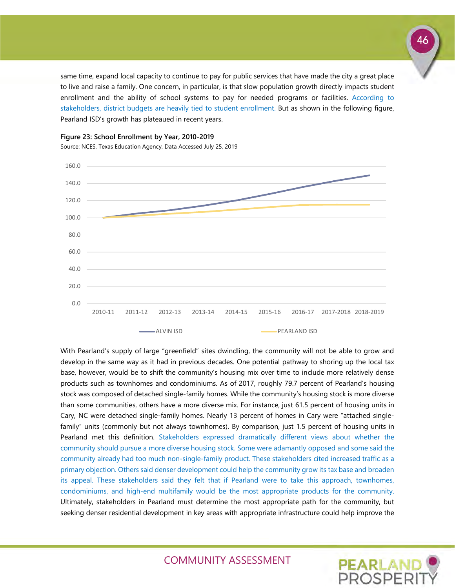same time, expand local capacity to continue to pay for public services that have made the city a great place to live and raise a family. One concern, in particular, is that slow population growth directly impacts student enrollment and the ability of school systems to pay for needed programs or facilities. According to stakeholders, district budgets are heavily tied to student enrollment. But as shown in the following figure, Pearland ISD's growth has plateaued in recent years.



**Figure 23: School Enrollment by Year, 2010-2019**

Source: NCES, Texas Education Agency, Data Accessed July 25, 2019

With Pearland's supply of large "greenfield" sites dwindling, the community will not be able to grow and develop in the same way as it had in previous decades. One potential pathway to shoring up the local tax base, however, would be to shift the community's housing mix over time to include more relatively dense products such as townhomes and condominiums. As of 2017, roughly 79.7 percent of Pearland's housing stock was composed of detached single-family homes. While the community's housing stock is more diverse than some communities, others have a more diverse mix. For instance, just 61.5 percent of housing units in Cary, NC were detached single-family homes. Nearly 13 percent of homes in Cary were "attached singlefamily" units (commonly but not always townhomes). By comparison, just 1.5 percent of housing units in Pearland met this definition. Stakeholders expressed dramatically different views about whether the community should pursue a more diverse housing stock. Some were adamantly opposed and some said the community already had too much non-single-family product. These stakeholders cited increased traffic as a primary objection. Others said denser development could help the community grow its tax base and broaden its appeal. These stakeholders said they felt that if Pearland were to take this approach, townhomes, condominiums, and high-end multifamily would be the most appropriate products for the community. Ultimately, stakeholders in Pearland must determine the most appropriate path for the community, but seeking denser residential development in key areas with appropriate infrastructure could help improve the

COMMUNITY ASSESSMENT

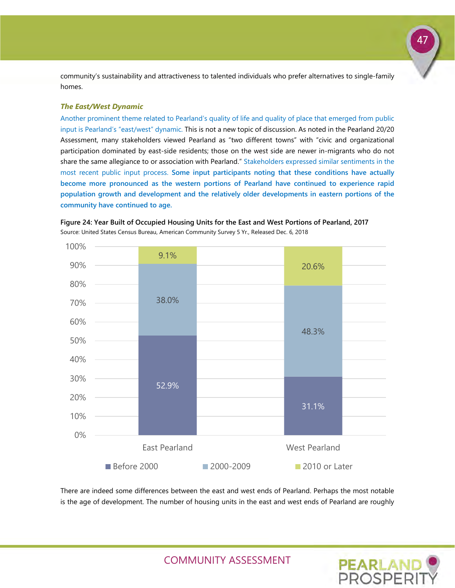community's sustainability and attractiveness to talented individuals who prefer alternatives to single-family homes.

#### *The East/West Dynamic*

Another prominent theme related to Pearland's quality of life and quality of place that emerged from public input is Pearland's "east/west" dynamic. This is not a new topic of discussion. As noted in the Pearland 20/20 Assessment, many stakeholders viewed Pearland as "two different towns" with "civic and organizational participation dominated by east-side residents; those on the west side are newer in-migrants who do not share the same allegiance to or association with Pearland." Stakeholders expressed similar sentiments in the most recent public input process. **Some input participants noting that these conditions have actually become more pronounced as the western portions of Pearland have continued to experience rapid population growth and development and the relatively older developments in eastern portions of the community have continued to age.**



**Figure 24: Year Built of Occupied Housing Units for the East and West Portions of Pearland, 2017** Source: United States Census Bureau, American Community Survey 5 Yr., Released Dec. 6, 2018

There are indeed some differences between the east and west ends of Pearland. Perhaps the most notable is the age of development. The number of housing units in the east and west ends of Pearland are roughly



47

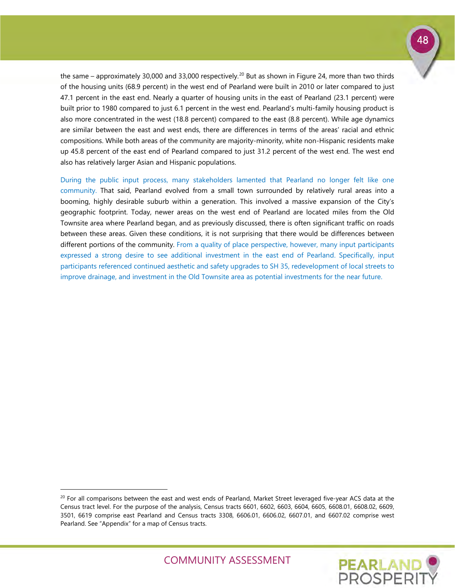the same – approximately 30,000 and 33,000 respectively.<sup>[20](#page-49-0)</sup> But as shown in Figure 24, more than two thirds of the housing units (68.9 percent) in the west end of Pearland were built in 2010 or later compared to just 47.1 percent in the east end. Nearly a quarter of housing units in the east of Pearland (23.1 percent) were built prior to 1980 compared to just 6.1 percent in the west end. Pearland's multi-family housing product is also more concentrated in the west (18.8 percent) compared to the east (8.8 percent). While age dynamics are similar between the east and west ends, there are differences in terms of the areas' racial and ethnic compositions. While both areas of the community are majority-minority, white non-Hispanic residents make up 45.8 percent of the east end of Pearland compared to just 31.2 percent of the west end. The west end also has relatively larger Asian and Hispanic populations.

During the public input process, many stakeholders lamented that Pearland no longer felt like one community. That said, Pearland evolved from a small town surrounded by relatively rural areas into a booming, highly desirable suburb within a generation. This involved a massive expansion of the City's geographic footprint. Today, newer areas on the west end of Pearland are located miles from the Old Townsite area where Pearland began, and as previously discussed, there is often significant traffic on roads between these areas. Given these conditions, it is not surprising that there would be differences between different portions of the community. From a quality of place perspective, however, many input participants expressed a strong desire to see additional investment in the east end of Pearland. Specifically, input participants referenced continued aesthetic and safety upgrades to SH 35, redevelopment of local streets to improve drainage, and investment in the Old Townsite area as potential investments for the near future.

-





<span id="page-49-0"></span> $20$  For all comparisons between the east and west ends of Pearland, Market Street leveraged five-year ACS data at the Census tract level. For the purpose of the analysis, Census tracts 6601, 6602, 6603, 6604, 6605, 6608.01, 6608.02, 6609, 3501, 6619 comprise east Pearland and Census tracts 3308, 6606.01, 6606.02, 6607.01, and 6607.02 comprise west Pearland. See "Appendix" for a map of Census tracts.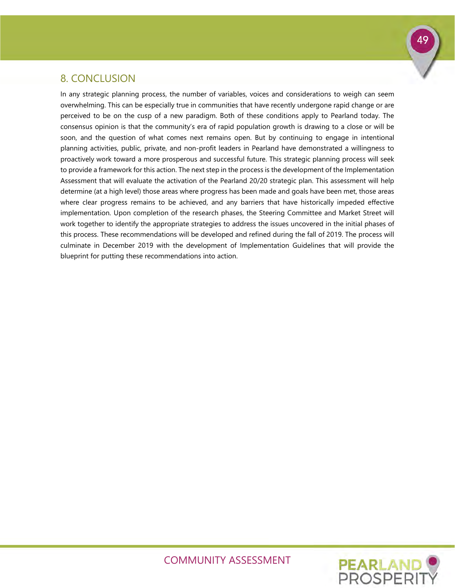### <span id="page-50-0"></span>8. CONCLUSION

In any strategic planning process, the number of variables, voices and considerations to weigh can seem overwhelming. This can be especially true in communities that have recently undergone rapid change or are perceived to be on the cusp of a new paradigm. Both of these conditions apply to Pearland today. The consensus opinion is that the community's era of rapid population growth is drawing to a close or will be soon, and the question of what comes next remains open. But by continuing to engage in intentional planning activities, public, private, and non-profit leaders in Pearland have demonstrated a willingness to proactively work toward a more prosperous and successful future. This strategic planning process will seek to provide a framework for this action. The next step in the process is the development of the Implementation Assessment that will evaluate the activation of the Pearland 20/20 strategic plan. This assessment will help determine (at a high level) those areas where progress has been made and goals have been met, those areas where clear progress remains to be achieved, and any barriers that have historically impeded effective implementation. Upon completion of the research phases, the Steering Committee and Market Street will work together to identify the appropriate strategies to address the issues uncovered in the initial phases of this process. These recommendations will be developed and refined during the fall of 2019. The process will culminate in December 2019 with the development of Implementation Guidelines that will provide the blueprint for putting these recommendations into action.